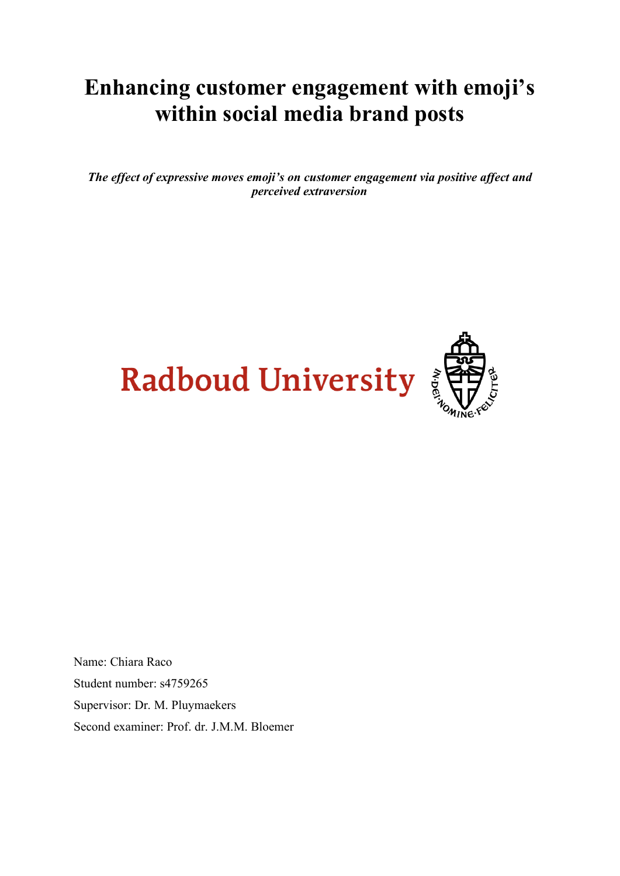# **Enhancing customer engagement with emoji's within social media brand posts**

*The effect of expressive moves emoji's on customer engagement via positive affect and perceived extraversion*





Name: Chiara Raco Student number: s4759265 Supervisor: Dr. M. Pluymaekers Second examiner: Prof. dr. J.M.M. Bloemer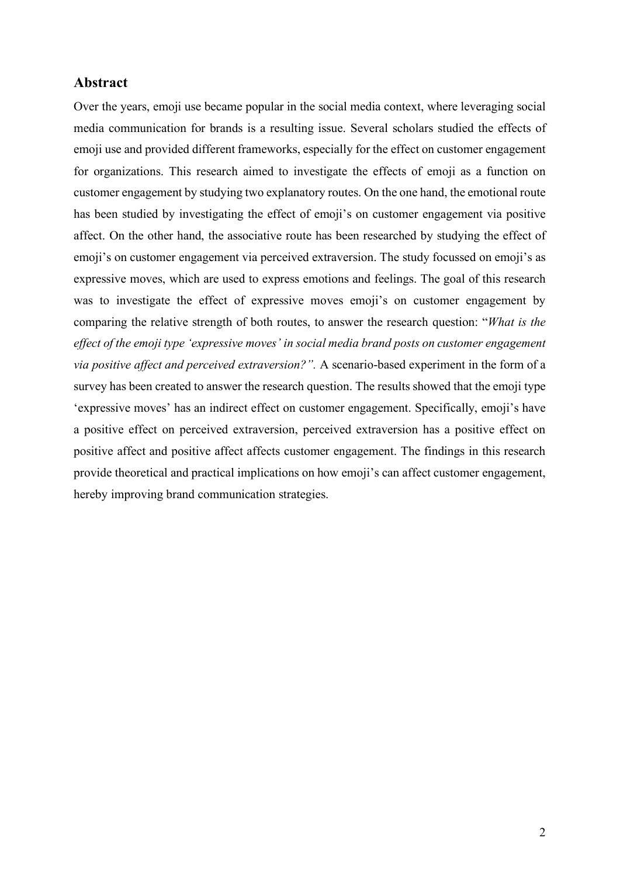### **Abstract**

Over the years, emoji use became popular in the social media context, where leveraging social media communication for brands is a resulting issue. Several scholars studied the effects of emoji use and provided different frameworks, especially for the effect on customer engagement for organizations. This research aimed to investigate the effects of emoji as a function on customer engagement by studying two explanatory routes. On the one hand, the emotional route has been studied by investigating the effect of emoji's on customer engagement via positive affect. On the other hand, the associative route has been researched by studying the effect of emoji's on customer engagement via perceived extraversion. The study focussed on emoji's as expressive moves, which are used to express emotions and feelings. The goal of this research was to investigate the effect of expressive moves emoji's on customer engagement by comparing the relative strength of both routes, to answer the research question: "*What is the effect of the emoji type 'expressive moves' in social media brand posts on customer engagement via positive affect and perceived extraversion?".* A scenario-based experiment in the form of a survey has been created to answer the research question. The results showed that the emoji type 'expressive moves' has an indirect effect on customer engagement. Specifically, emoji's have a positive effect on perceived extraversion, perceived extraversion has a positive effect on positive affect and positive affect affects customer engagement. The findings in this research provide theoretical and practical implications on how emoji's can affect customer engagement, hereby improving brand communication strategies.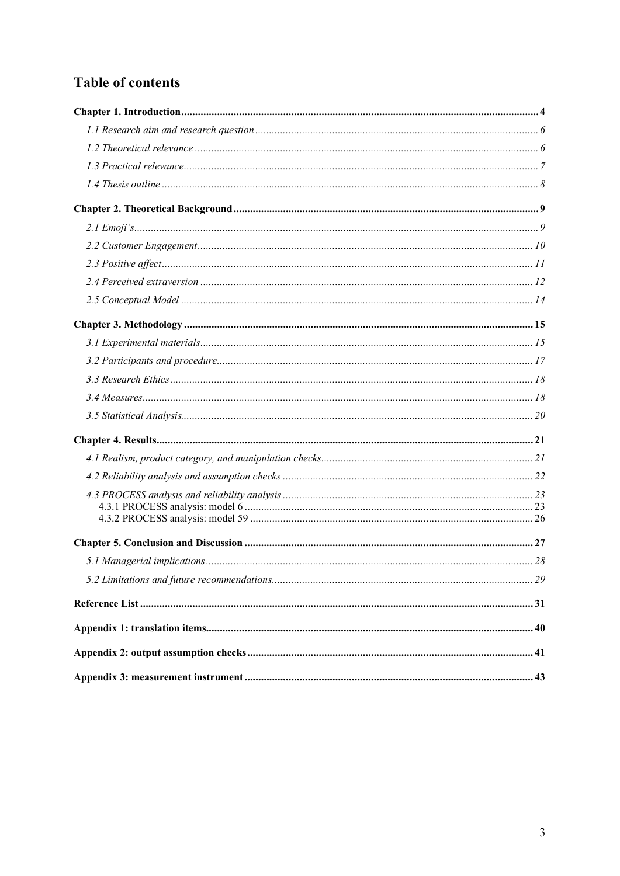### **Table of contents**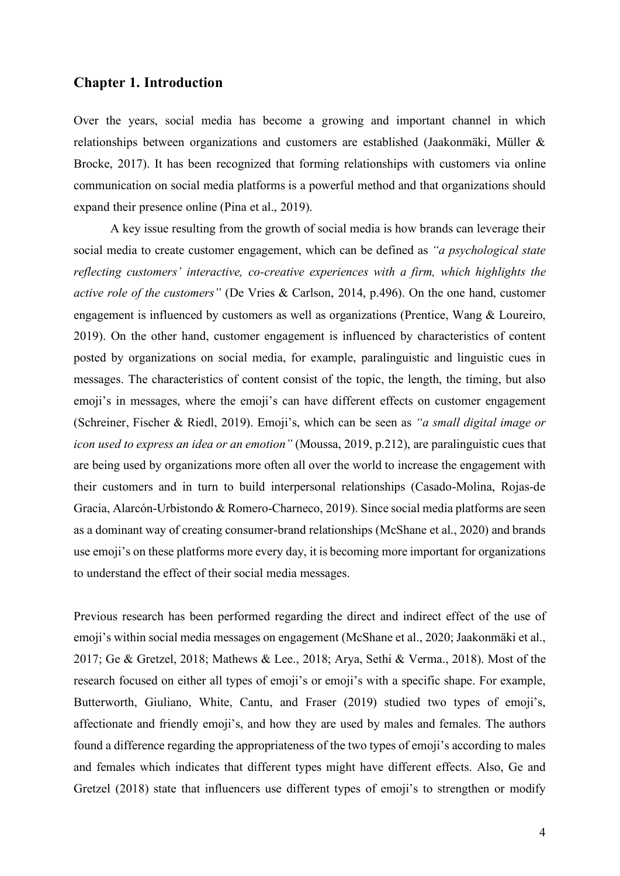### <span id="page-3-0"></span>**Chapter 1. Introduction**

Over the years, social media has become a growing and important channel in which relationships between organizations and customers are established (Jaakonmäki, Müller & Brocke, 2017). It has been recognized that forming relationships with customers via online communication on social media platforms is a powerful method and that organizations should expand their presence online (Pina et al., 2019).

A key issue resulting from the growth of social media is how brands can leverage their social media to create customer engagement, which can be defined as *"a psychological state reflecting customers' interactive, co-creative experiences with a firm, which highlights the active role of the customers"* (De Vries & Carlson, 2014, p.496). On the one hand, customer engagement is influenced by customers as well as organizations (Prentice, Wang & Loureiro, 2019). On the other hand, customer engagement is influenced by characteristics of content posted by organizations on social media, for example, paralinguistic and linguistic cues in messages. The characteristics of content consist of the topic, the length, the timing, but also emoji's in messages, where the emoji's can have different effects on customer engagement (Schreiner, Fischer & Riedl, 2019). Emoji's, which can be seen as *"a small digital image or icon used to express an idea or an emotion"* (Moussa, 2019, p.212), are paralinguistic cues that are being used by organizations more often all over the world to increase the engagement with their customers and in turn to build interpersonal relationships (Casado-Molina, Rojas-de Gracia, Alarcón-Urbistondo & Romero-Charneco, 2019). Since social media platforms are seen as a dominant way of creating consumer-brand relationships (McShane et al., 2020) and brands use emoji's on these platforms more every day, it is becoming more important for organizations to understand the effect of their social media messages.

Previous research has been performed regarding the direct and indirect effect of the use of emoji's within social media messages on engagement (McShane et al., 2020; Jaakonmäki et al., 2017; Ge & Gretzel, 2018; Mathews & Lee., 2018; Arya, Sethi & Verma., 2018). Most of the research focused on either all types of emoji's or emoji's with a specific shape. For example, Butterworth, Giuliano, White, Cantu, and Fraser (2019) studied two types of emoji's, affectionate and friendly emoji's, and how they are used by males and females. The authors found a difference regarding the appropriateness of the two types of emoji's according to males and females which indicates that different types might have different effects. Also, Ge and Gretzel (2018) state that influencers use different types of emoji's to strengthen or modify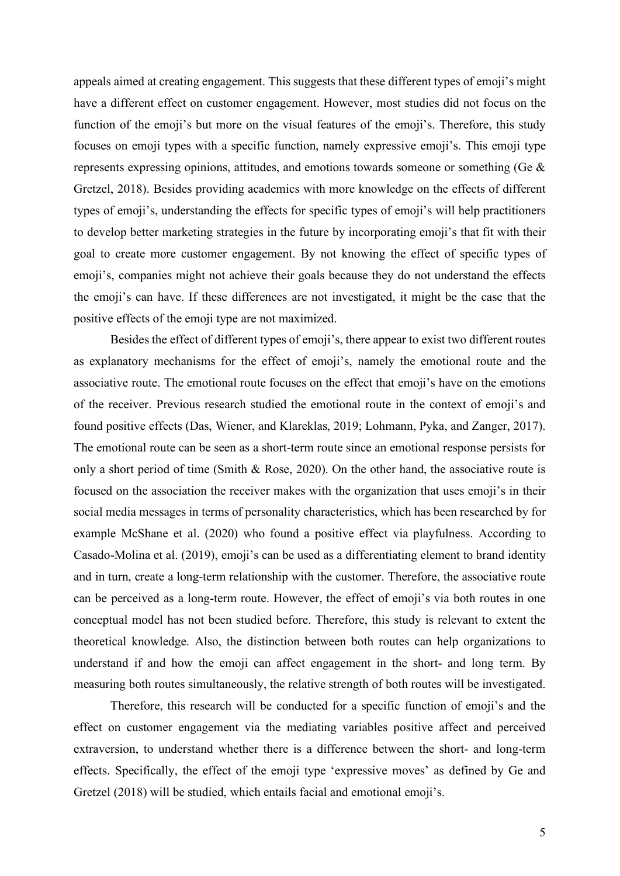appeals aimed at creating engagement. This suggests that these different types of emoji's might have a different effect on customer engagement. However, most studies did not focus on the function of the emoji's but more on the visual features of the emoji's. Therefore, this study focuses on emoji types with a specific function, namely expressive emoji's. This emoji type represents expressing opinions, attitudes, and emotions towards someone or something (Ge & Gretzel, 2018). Besides providing academics with more knowledge on the effects of different types of emoji's, understanding the effects for specific types of emoji's will help practitioners to develop better marketing strategies in the future by incorporating emoji's that fit with their goal to create more customer engagement. By not knowing the effect of specific types of emoji's, companies might not achieve their goals because they do not understand the effects the emoji's can have. If these differences are not investigated, it might be the case that the positive effects of the emoji type are not maximized.

Besides the effect of different types of emoji's, there appear to exist two different routes as explanatory mechanisms for the effect of emoji's, namely the emotional route and the associative route. The emotional route focuses on the effect that emoji's have on the emotions of the receiver. Previous research studied the emotional route in the context of emoji's and found positive effects (Das, Wiener, and Klareklas, 2019; Lohmann, Pyka, and Zanger, 2017). The emotional route can be seen as a short-term route since an emotional response persists for only a short period of time (Smith & Rose, 2020). On the other hand, the associative route is focused on the association the receiver makes with the organization that uses emoji's in their social media messages in terms of personality characteristics, which has been researched by for example McShane et al. (2020) who found a positive effect via playfulness. According to Casado-Molina et al. (2019), emoji's can be used as a differentiating element to brand identity and in turn, create a long-term relationship with the customer. Therefore, the associative route can be perceived as a long-term route. However, the effect of emoji's via both routes in one conceptual model has not been studied before. Therefore, this study is relevant to extent the theoretical knowledge. Also, the distinction between both routes can help organizations to understand if and how the emoji can affect engagement in the short- and long term. By measuring both routes simultaneously, the relative strength of both routes will be investigated.

Therefore, this research will be conducted for a specific function of emoji's and the effect on customer engagement via the mediating variables positive affect and perceived extraversion, to understand whether there is a difference between the short- and long-term effects. Specifically, the effect of the emoji type 'expressive moves' as defined by Ge and Gretzel (2018) will be studied, which entails facial and emotional emoji's.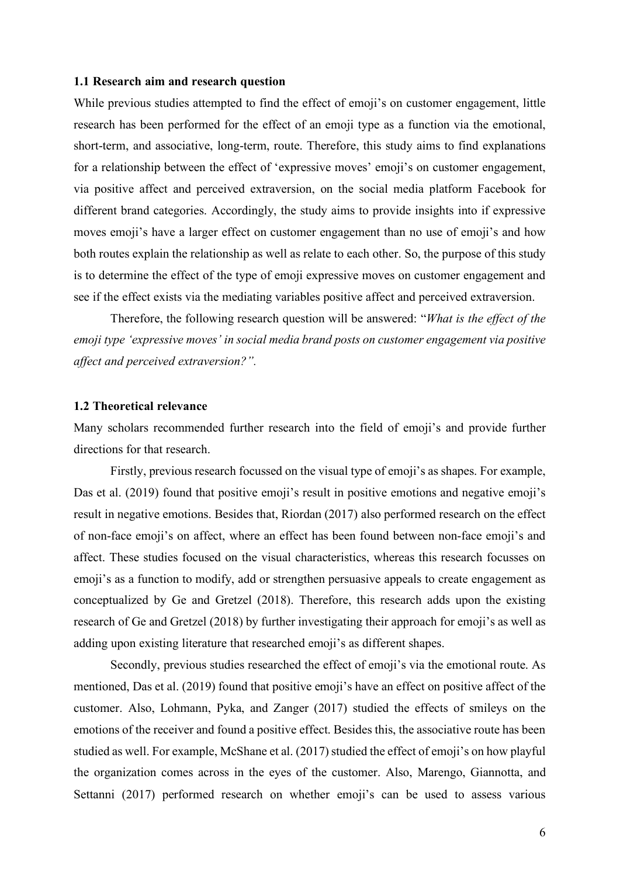#### <span id="page-5-0"></span>**1.1 Research aim and research question**

While previous studies attempted to find the effect of emoji's on customer engagement, little research has been performed for the effect of an emoji type as a function via the emotional, short-term, and associative, long-term, route. Therefore, this study aims to find explanations for a relationship between the effect of 'expressive moves' emoji's on customer engagement, via positive affect and perceived extraversion, on the social media platform Facebook for different brand categories. Accordingly, the study aims to provide insights into if expressive moves emoji's have a larger effect on customer engagement than no use of emoji's and how both routes explain the relationship as well as relate to each other. So, the purpose of this study is to determine the effect of the type of emoji expressive moves on customer engagement and see if the effect exists via the mediating variables positive affect and perceived extraversion.

Therefore, the following research question will be answered: "*What is the effect of the emoji type 'expressive moves' in social media brand posts on customer engagement via positive affect and perceived extraversion?".* 

#### <span id="page-5-1"></span>**1.2 Theoretical relevance**

Many scholars recommended further research into the field of emoji's and provide further directions for that research.

Firstly, previous research focussed on the visual type of emoji's as shapes. For example, Das et al. (2019) found that positive emoji's result in positive emotions and negative emoji's result in negative emotions. Besides that, Riordan (2017) also performed research on the effect of non-face emoji's on affect, where an effect has been found between non-face emoji's and affect. These studies focused on the visual characteristics, whereas this research focusses on emoji's as a function to modify, add or strengthen persuasive appeals to create engagement as conceptualized by Ge and Gretzel (2018). Therefore, this research adds upon the existing research of Ge and Gretzel (2018) by further investigating their approach for emoji's as well as adding upon existing literature that researched emoji's as different shapes.

Secondly, previous studies researched the effect of emoji's via the emotional route. As mentioned, Das et al. (2019) found that positive emoji's have an effect on positive affect of the customer. Also, Lohmann, Pyka, and Zanger (2017) studied the effects of smileys on the emotions of the receiver and found a positive effect. Besides this, the associative route has been studied as well. For example, McShane et al. (2017) studied the effect of emoji's on how playful the organization comes across in the eyes of the customer. Also, Marengo, Giannotta, and Settanni (2017) performed research on whether emoji's can be used to assess various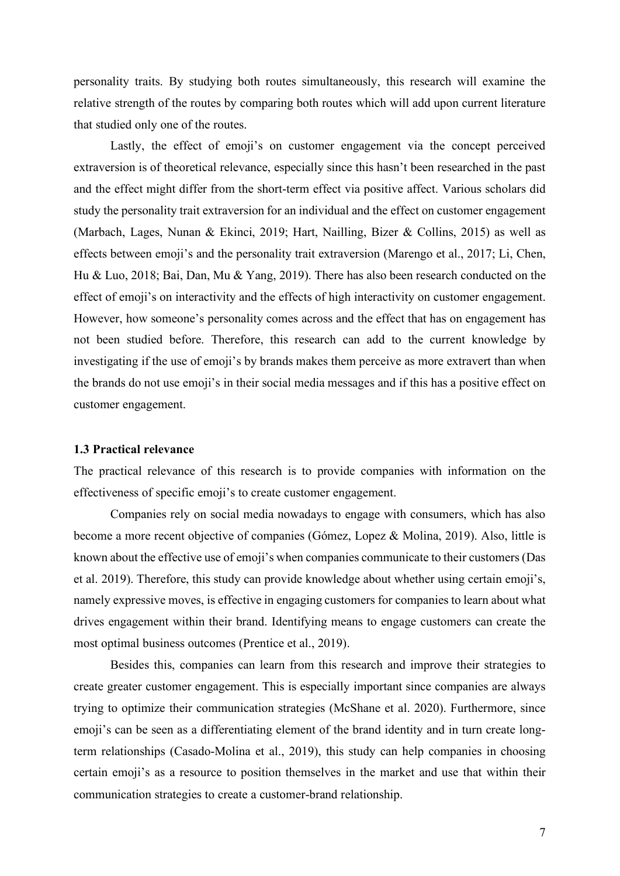personality traits. By studying both routes simultaneously, this research will examine the relative strength of the routes by comparing both routes which will add upon current literature that studied only one of the routes.

Lastly, the effect of emoji's on customer engagement via the concept perceived extraversion is of theoretical relevance, especially since this hasn't been researched in the past and the effect might differ from the short-term effect via positive affect. Various scholars did study the personality trait extraversion for an individual and the effect on customer engagement (Marbach, Lages, Nunan & Ekinci, 2019; Hart, Nailling, Bizer & Collins, 2015) as well as effects between emoji's and the personality trait extraversion (Marengo et al., 2017; Li, Chen, Hu & Luo, 2018; Bai, Dan, Mu & Yang, 2019). There has also been research conducted on the effect of emoji's on interactivity and the effects of high interactivity on customer engagement. However, how someone's personality comes across and the effect that has on engagement has not been studied before. Therefore, this research can add to the current knowledge by investigating if the use of emoji's by brands makes them perceive as more extravert than when the brands do not use emoji's in their social media messages and if this has a positive effect on customer engagement.

### <span id="page-6-0"></span>**1.3 Practical relevance**

The practical relevance of this research is to provide companies with information on the effectiveness of specific emoji's to create customer engagement.

Companies rely on social media nowadays to engage with consumers, which has also become a more recent objective of companies (Gómez, Lopez & Molina, 2019). Also, little is known about the effective use of emoji's when companies communicate to their customers(Das et al. 2019). Therefore, this study can provide knowledge about whether using certain emoji's, namely expressive moves, is effective in engaging customers for companies to learn about what drives engagement within their brand. Identifying means to engage customers can create the most optimal business outcomes (Prentice et al., 2019).

Besides this, companies can learn from this research and improve their strategies to create greater customer engagement. This is especially important since companies are always trying to optimize their communication strategies (McShane et al. 2020). Furthermore, since emoji's can be seen as a differentiating element of the brand identity and in turn create longterm relationships (Casado-Molina et al., 2019), this study can help companies in choosing certain emoji's as a resource to position themselves in the market and use that within their communication strategies to create a customer-brand relationship.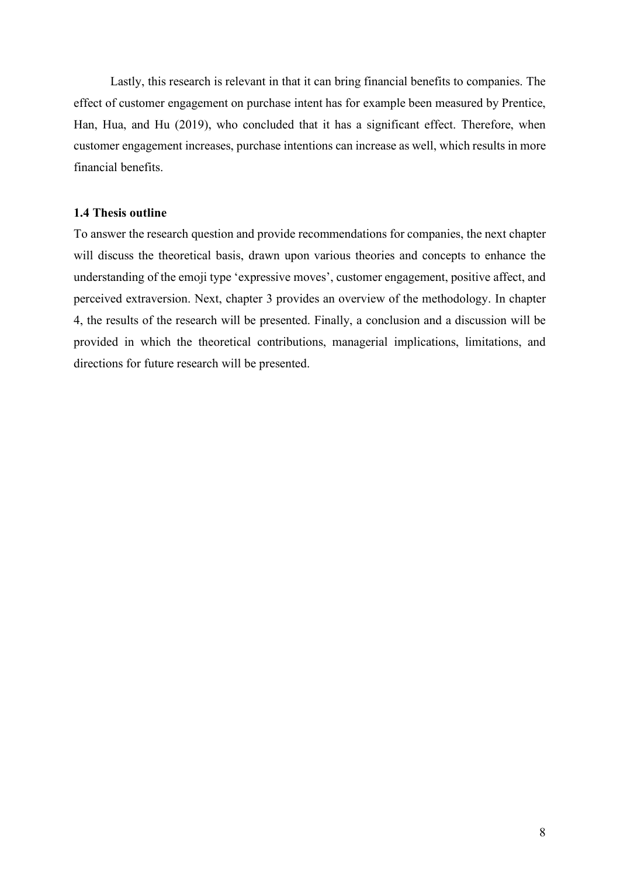Lastly, this research is relevant in that it can bring financial benefits to companies. The effect of customer engagement on purchase intent has for example been measured by Prentice, Han, Hua, and Hu (2019), who concluded that it has a significant effect. Therefore, when customer engagement increases, purchase intentions can increase as well, which results in more financial benefits.

#### <span id="page-7-0"></span>**1.4 Thesis outline**

To answer the research question and provide recommendations for companies, the next chapter will discuss the theoretical basis, drawn upon various theories and concepts to enhance the understanding of the emoji type 'expressive moves', customer engagement, positive affect, and perceived extraversion. Next, chapter 3 provides an overview of the methodology. In chapter 4, the results of the research will be presented. Finally, a conclusion and a discussion will be provided in which the theoretical contributions, managerial implications, limitations, and directions for future research will be presented.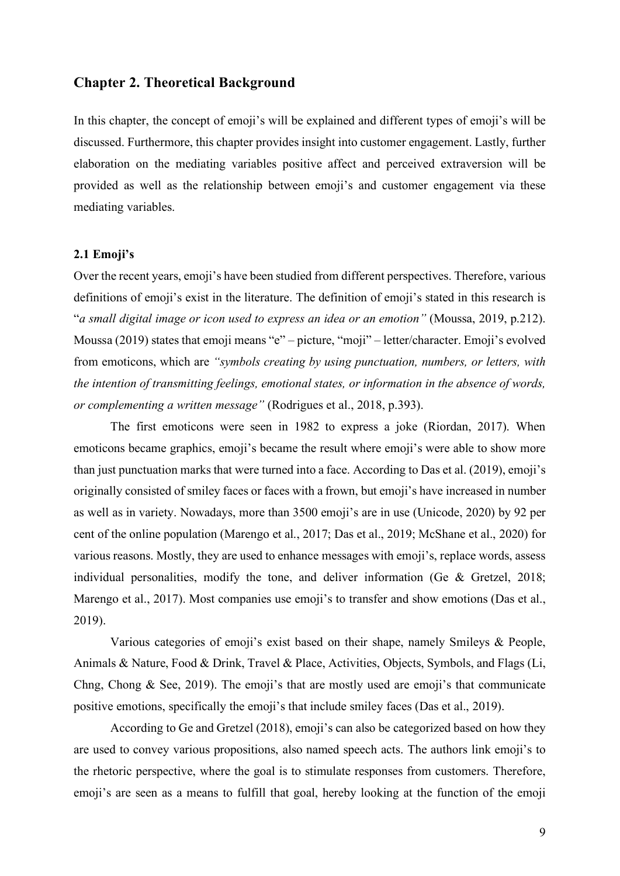### <span id="page-8-0"></span>**Chapter 2. Theoretical Background**

In this chapter, the concept of emoji's will be explained and different types of emoji's will be discussed. Furthermore, this chapter provides insight into customer engagement. Lastly, further elaboration on the mediating variables positive affect and perceived extraversion will be provided as well as the relationship between emoji's and customer engagement via these mediating variables.

#### <span id="page-8-1"></span>**2.1 Emoji's**

Over the recent years, emoji's have been studied from different perspectives. Therefore, various definitions of emoji's exist in the literature. The definition of emoji's stated in this research is "*a small digital image or icon used to express an idea or an emotion"* (Moussa, 2019, p.212). Moussa (2019) states that emoji means "e" – picture, "moji" – letter/character. Emoji's evolved from emoticons, which are *"symbols creating by using punctuation, numbers, or letters, with the intention of transmitting feelings, emotional states, or information in the absence of words, or complementing a written message"* (Rodrigues et al., 2018, p.393).

The first emoticons were seen in 1982 to express a joke (Riordan, 2017). When emoticons became graphics, emoji's became the result where emoji's were able to show more than just punctuation marks that were turned into a face. According to Das et al. (2019), emoji's originally consisted of smiley faces or faces with a frown, but emoji's have increased in number as well as in variety. Nowadays, more than 3500 emoji's are in use (Unicode, 2020) by 92 per cent of the online population (Marengo et al., 2017; Das et al., 2019; McShane et al., 2020) for various reasons. Mostly, they are used to enhance messages with emoji's, replace words, assess individual personalities, modify the tone, and deliver information (Ge & Gretzel, 2018; Marengo et al., 2017). Most companies use emoji's to transfer and show emotions (Das et al., 2019).

Various categories of emoji's exist based on their shape, namely Smileys & People, Animals & Nature, Food & Drink, Travel & Place, Activities, Objects, Symbols, and Flags (Li, Chng, Chong & See, 2019). The emoji's that are mostly used are emoji's that communicate positive emotions, specifically the emoji's that include smiley faces (Das et al., 2019).

According to Ge and Gretzel (2018), emoji's can also be categorized based on how they are used to convey various propositions, also named speech acts. The authors link emoji's to the rhetoric perspective, where the goal is to stimulate responses from customers. Therefore, emoji's are seen as a means to fulfill that goal, hereby looking at the function of the emoji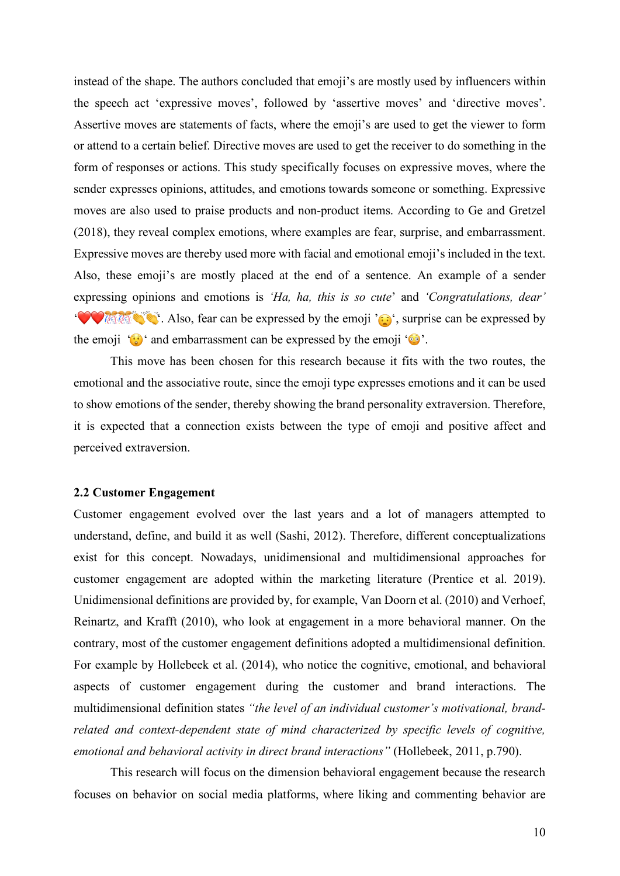instead of the shape. The authors concluded that emoji's are mostly used by influencers within the speech act 'expressive moves', followed by 'assertive moves' and 'directive moves'. Assertive moves are statements of facts, where the emoji's are used to get the viewer to form or attend to a certain belief. Directive moves are used to get the receiver to do something in the form of responses or actions. This study specifically focuses on expressive moves, where the sender expresses opinions, attitudes, and emotions towards someone or something. Expressive moves are also used to praise products and non-product items. According to Ge and Gretzel (2018), they reveal complex emotions, where examples are fear, surprise, and embarrassment. Expressive moves are thereby used more with facial and emotional emoji's included in the text. Also, these emoji's are mostly placed at the end of a sentence. An example of a sender expressing opinions and emotions is *'Ha, ha, this is so cute*' and *'Congratulations, dear'* **' I'm the expressed by the emoji** '. Surprise can be expressed by the emotic '... the emoji  $\mathcal{C}$  and embarrassment can be expressed by the emoji  $\mathcal{C}$ .

This move has been chosen for this research because it fits with the two routes, the emotional and the associative route, since the emoji type expresses emotions and it can be used to show emotions of the sender, thereby showing the brand personality extraversion. Therefore, it is expected that a connection exists between the type of emoji and positive affect and perceived extraversion.

#### <span id="page-9-0"></span>**2.2 Customer Engagement**

Customer engagement evolved over the last years and a lot of managers attempted to understand, define, and build it as well (Sashi, 2012). Therefore, different conceptualizations exist for this concept. Nowadays, unidimensional and multidimensional approaches for customer engagement are adopted within the marketing literature (Prentice et al. 2019). Unidimensional definitions are provided by, for example, Van Doorn et al. (2010) and Verhoef, Reinartz, and Krafft (2010), who look at engagement in a more behavioral manner. On the contrary, most of the customer engagement definitions adopted a multidimensional definition. For example by Hollebeek et al. (2014), who notice the cognitive, emotional, and behavioral aspects of customer engagement during the customer and brand interactions. The multidimensional definition states *"the level of an individual customer's motivational, brandrelated and context-dependent state of mind characterized by specific levels of cognitive, emotional and behavioral activity in direct brand interactions"* (Hollebeek, 2011, p.790).

This research will focus on the dimension behavioral engagement because the research focuses on behavior on social media platforms, where liking and commenting behavior are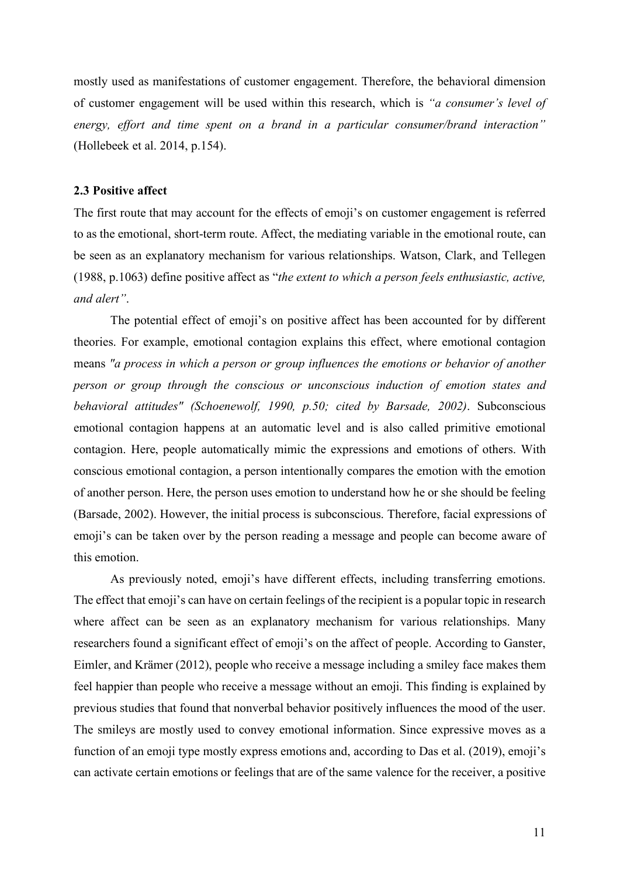mostly used as manifestations of customer engagement. Therefore, the behavioral dimension of customer engagement will be used within this research, which is *"a consumer's level of energy, effort and time spent on a brand in a particular consumer/brand interaction"*  (Hollebeek et al. 2014, p.154).

### <span id="page-10-0"></span>**2.3 Positive affect**

The first route that may account for the effects of emoji's on customer engagement is referred to as the emotional, short-term route. Affect, the mediating variable in the emotional route, can be seen as an explanatory mechanism for various relationships. Watson, Clark, and Tellegen (1988, p.1063) define positive affect as "*the extent to which a person feels enthusiastic, active, and alert"*.

The potential effect of emoji's on positive affect has been accounted for by different theories. For example, emotional contagion explains this effect, where emotional contagion means *"a process in which a person or group influences the emotions or behavior of another person or group through the conscious or unconscious induction of emotion states and behavioral attitudes" (Schoenewolf, 1990, p.50; cited by Barsade, 2002)*. Subconscious emotional contagion happens at an automatic level and is also called primitive emotional contagion. Here, people automatically mimic the expressions and emotions of others. With conscious emotional contagion, a person intentionally compares the emotion with the emotion of another person. Here, the person uses emotion to understand how he or she should be feeling (Barsade, 2002). However, the initial process is subconscious. Therefore, facial expressions of emoji's can be taken over by the person reading a message and people can become aware of this emotion.

As previously noted, emoji's have different effects, including transferring emotions. The effect that emoji's can have on certain feelings of the recipient is a popular topic in research where affect can be seen as an explanatory mechanism for various relationships. Many researchers found a significant effect of emoji's on the affect of people. According to Ganster, Eimler, and Krämer (2012), people who receive a message including a smiley face makes them feel happier than people who receive a message without an emoji. This finding is explained by previous studies that found that nonverbal behavior positively influences the mood of the user. The smileys are mostly used to convey emotional information. Since expressive moves as a function of an emoji type mostly express emotions and, according to Das et al. (2019), emoji's can activate certain emotions or feelings that are of the same valence for the receiver, a positive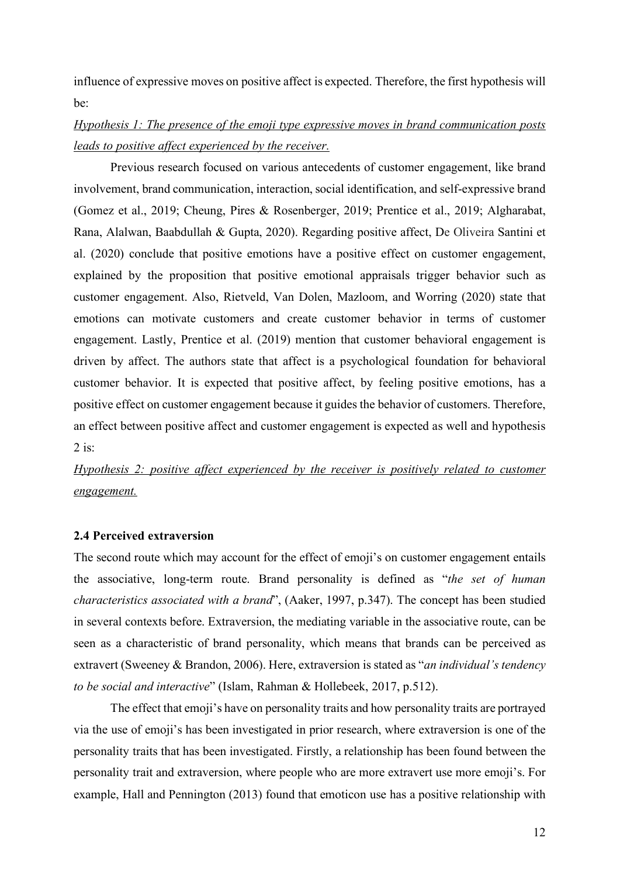influence of expressive moves on positive affect is expected. Therefore, the first hypothesis will be:

*Hypothesis 1: The presence of the emoji type expressive moves in brand communication posts leads to positive affect experienced by the receiver.* 

Previous research focused on various antecedents of customer engagement, like brand involvement, brand communication, interaction, social identification, and self-expressive brand (Gomez et al., 2019; Cheung, Pires & Rosenberger, 2019; Prentice et al., 2019; Algharabat, Rana, Alalwan, Baabdullah & Gupta, 2020). Regarding positive affect, De Oliveira Santini et al. (2020) conclude that positive emotions have a positive effect on customer engagement, explained by the proposition that positive emotional appraisals trigger behavior such as customer engagement. Also, Rietveld, Van Dolen, Mazloom, and Worring (2020) state that emotions can motivate customers and create customer behavior in terms of customer engagement. Lastly, Prentice et al. (2019) mention that customer behavioral engagement is driven by affect. The authors state that affect is a psychological foundation for behavioral customer behavior. It is expected that positive affect, by feeling positive emotions, has a positive effect on customer engagement because it guides the behavior of customers. Therefore, an effect between positive affect and customer engagement is expected as well and hypothesis  $2$  is:

## *Hypothesis 2: positive affect experienced by the receiver is positively related to customer engagement.*

#### <span id="page-11-0"></span>**2.4 Perceived extraversion**

The second route which may account for the effect of emoji's on customer engagement entails the associative, long-term route. Brand personality is defined as "*the set of human characteristics associated with a brand*", (Aaker, 1997, p.347). The concept has been studied in several contexts before. Extraversion, the mediating variable in the associative route, can be seen as a characteristic of brand personality, which means that brands can be perceived as extravert (Sweeney & Brandon, 2006). Here, extraversion is stated as "*an individual's tendency to be social and interactive*" (Islam, Rahman & Hollebeek, 2017, p.512).

The effect that emoji's have on personality traits and how personality traits are portrayed via the use of emoji's has been investigated in prior research, where extraversion is one of the personality traits that has been investigated. Firstly, a relationship has been found between the personality trait and extraversion, where people who are more extravert use more emoji's. For example, Hall and Pennington (2013) found that emoticon use has a positive relationship with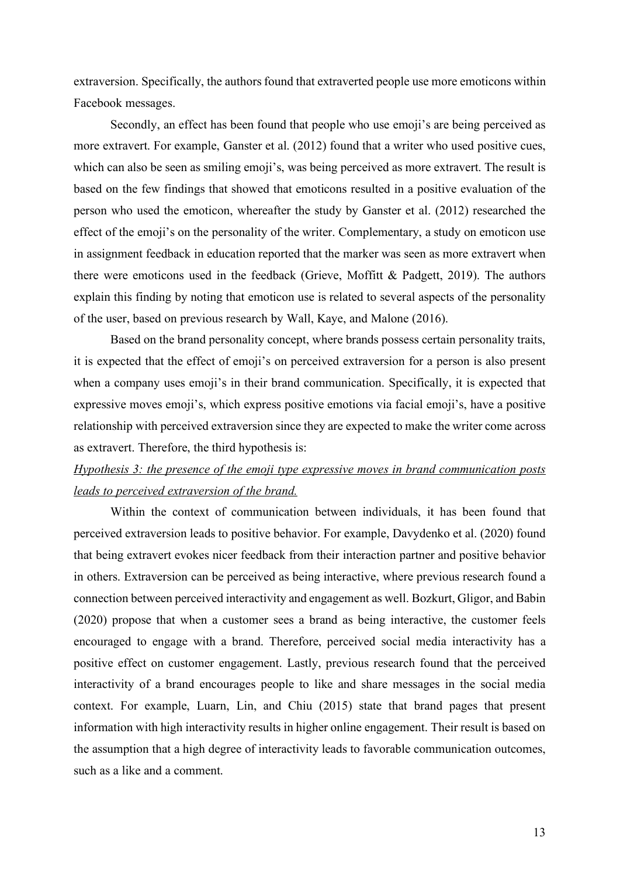extraversion. Specifically, the authors found that extraverted people use more emoticons within Facebook messages.

Secondly, an effect has been found that people who use emoji's are being perceived as more extravert. For example, Ganster et al. (2012) found that a writer who used positive cues, which can also be seen as smiling emoji's, was being perceived as more extravert. The result is based on the few findings that showed that emoticons resulted in a positive evaluation of the person who used the emoticon, whereafter the study by Ganster et al. (2012) researched the effect of the emoji's on the personality of the writer. Complementary, a study on emoticon use in assignment feedback in education reported that the marker was seen as more extravert when there were emoticons used in the feedback (Grieve, Moffitt & Padgett, 2019). The authors explain this finding by noting that emoticon use is related to several aspects of the personality of the user, based on previous research by Wall, Kaye, and Malone (2016).

Based on the brand personality concept, where brands possess certain personality traits, it is expected that the effect of emoji's on perceived extraversion for a person is also present when a company uses emoji's in their brand communication. Specifically, it is expected that expressive moves emoji's, which express positive emotions via facial emoji's, have a positive relationship with perceived extraversion since they are expected to make the writer come across as extravert. Therefore, the third hypothesis is:

### *Hypothesis 3: the presence of the emoji type expressive moves in brand communication posts leads to perceived extraversion of the brand.*

Within the context of communication between individuals, it has been found that perceived extraversion leads to positive behavior. For example, Davydenko et al. (2020) found that being extravert evokes nicer feedback from their interaction partner and positive behavior in others. Extraversion can be perceived as being interactive, where previous research found a connection between perceived interactivity and engagement as well. Bozkurt, Gligor, and Babin (2020) propose that when a customer sees a brand as being interactive, the customer feels encouraged to engage with a brand. Therefore, perceived social media interactivity has a positive effect on customer engagement. Lastly, previous research found that the perceived interactivity of a brand encourages people to like and share messages in the social media context. For example, Luarn, Lin, and Chiu (2015) state that brand pages that present information with high interactivity results in higher online engagement. Their result is based on the assumption that a high degree of interactivity leads to favorable communication outcomes, such as a like and a comment.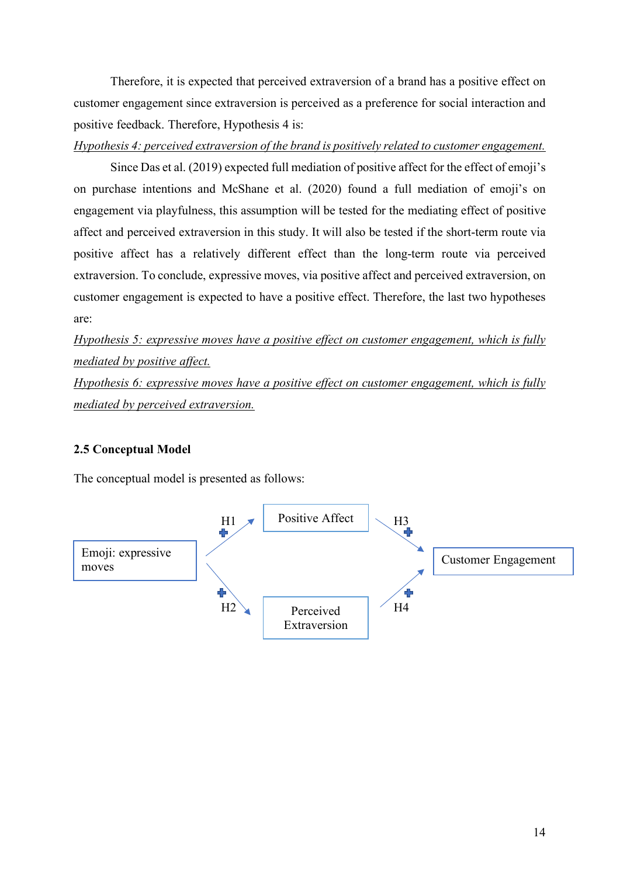Therefore, it is expected that perceived extraversion of a brand has a positive effect on customer engagement since extraversion is perceived as a preference for social interaction and positive feedback. Therefore, Hypothesis 4 is:

*Hypothesis 4: perceived extraversion of the brand is positively related to customer engagement.* 

Since Das et al. (2019) expected full mediation of positive affect for the effect of emoji's on purchase intentions and McShane et al. (2020) found a full mediation of emoji's on engagement via playfulness, this assumption will be tested for the mediating effect of positive affect and perceived extraversion in this study. It will also be tested if the short-term route via positive affect has a relatively different effect than the long-term route via perceived extraversion. To conclude, expressive moves, via positive affect and perceived extraversion, on customer engagement is expected to have a positive effect. Therefore, the last two hypotheses are:

*Hypothesis 5: expressive moves have a positive effect on customer engagement, which is fully mediated by positive affect.* 

*Hypothesis 6: expressive moves have a positive effect on customer engagement, which is fully mediated by perceived extraversion.* 

### <span id="page-13-0"></span>**2.5 Conceptual Model**

The conceptual model is presented as follows:

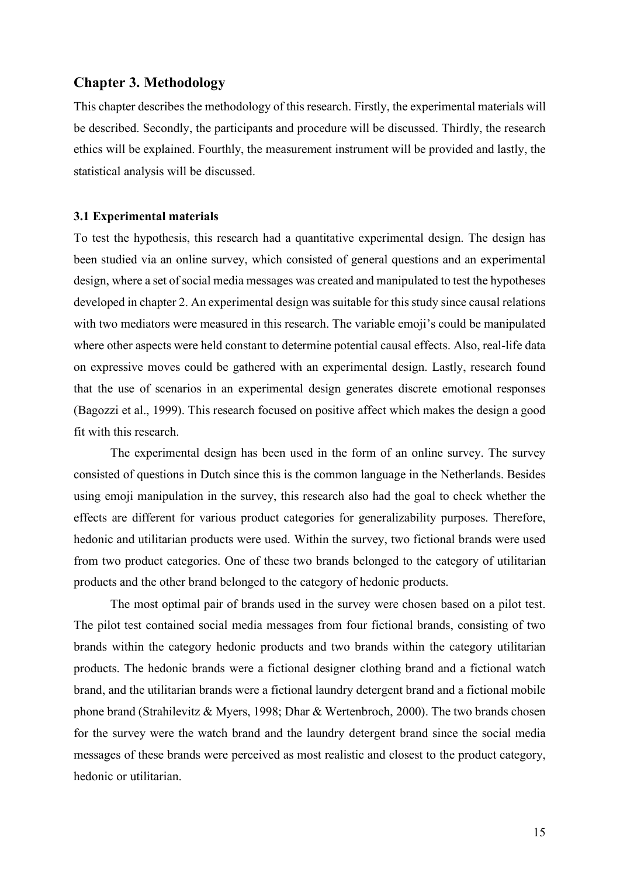### <span id="page-14-0"></span>**Chapter 3. Methodology**

This chapter describes the methodology of this research. Firstly, the experimental materials will be described. Secondly, the participants and procedure will be discussed. Thirdly, the research ethics will be explained. Fourthly, the measurement instrument will be provided and lastly, the statistical analysis will be discussed.

#### <span id="page-14-1"></span>**3.1 Experimental materials**

To test the hypothesis, this research had a quantitative experimental design. The design has been studied via an online survey, which consisted of general questions and an experimental design, where a set of social media messages was created and manipulated to test the hypotheses developed in chapter 2. An experimental design was suitable for this study since causal relations with two mediators were measured in this research. The variable emoji's could be manipulated where other aspects were held constant to determine potential causal effects. Also, real-life data on expressive moves could be gathered with an experimental design. Lastly, research found that the use of scenarios in an experimental design generates discrete emotional responses (Bagozzi et al., 1999). This research focused on positive affect which makes the design a good fit with this research.

The experimental design has been used in the form of an online survey. The survey consisted of questions in Dutch since this is the common language in the Netherlands. Besides using emoji manipulation in the survey, this research also had the goal to check whether the effects are different for various product categories for generalizability purposes. Therefore, hedonic and utilitarian products were used. Within the survey, two fictional brands were used from two product categories. One of these two brands belonged to the category of utilitarian products and the other brand belonged to the category of hedonic products.

The most optimal pair of brands used in the survey were chosen based on a pilot test. The pilot test contained social media messages from four fictional brands, consisting of two brands within the category hedonic products and two brands within the category utilitarian products. The hedonic brands were a fictional designer clothing brand and a fictional watch brand, and the utilitarian brands were a fictional laundry detergent brand and a fictional mobile phone brand (Strahilevitz & Myers, 1998; Dhar & Wertenbroch, 2000). The two brands chosen for the survey were the watch brand and the laundry detergent brand since the social media messages of these brands were perceived as most realistic and closest to the product category, hedonic or utilitarian.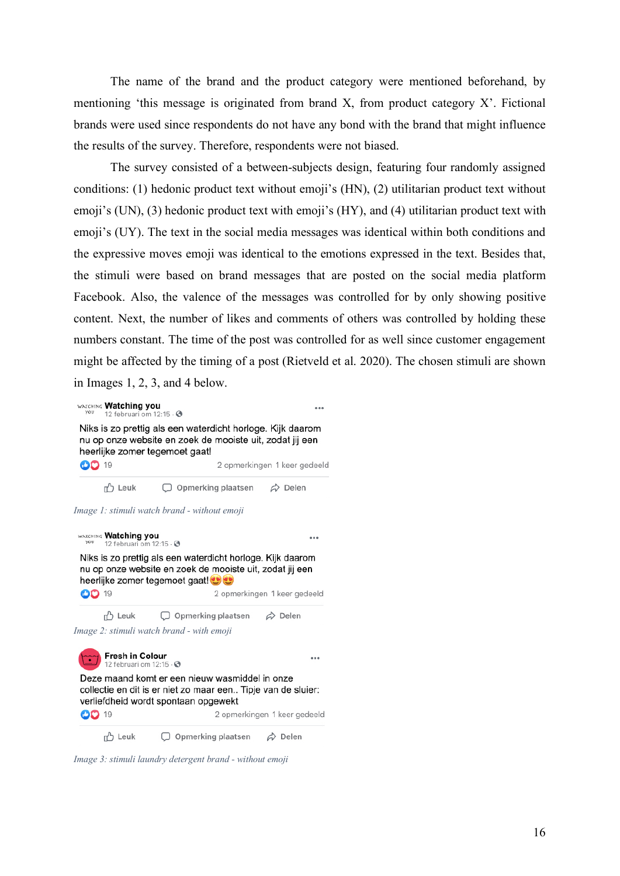The name of the brand and the product category were mentioned beforehand, by mentioning 'this message is originated from brand X, from product category X'. Fictional brands were used since respondents do not have any bond with the brand that might influence the results of the survey. Therefore, respondents were not biased.

The survey consisted of a between-subjects design, featuring four randomly assigned conditions: (1) hedonic product text without emoji's (HN), (2) utilitarian product text without emoji's (UN), (3) hedonic product text with emoji's (HY), and (4) utilitarian product text with emoji's (UY). The text in the social media messages was identical within both conditions and the expressive moves emoji was identical to the emotions expressed in the text. Besides that, the stimuli were based on brand messages that are posted on the social media platform Facebook. Also, the valence of the messages was controlled for by only showing positive content. Next, the number of likes and comments of others was controlled by holding these numbers constant. The time of the post was controlled for as well since customer engagement might be affected by the timing of a post (Rietveld et al. 2020). The chosen stimuli are shown in Images 1, 2, 3, and 4 below.

WATCHING Watching you ... 12 februari om 12:15  $\cdot$  3 Niks is zo prettig als een waterdicht horloge. Kijk daarom nu op onze website en zoek de mooiste uit, zodat jij een heerlijke zomer tegemoet gaat! **OO 19** 2 opmerkingen 1 keer gedeeld r<sup>b</sup> Leuk O Opmerking plaatsen  $\phi$  Delen *Image 1: stimuli watch brand - without emoji* WATCHING Watching you  $\sim$ you 12 februari om 12:15  $\cdot$   $\odot$ Niks is zo prettig als een waterdicht horloge. Kijk daarom nu op onze website en zoek de mooiste uit, zodat jij een heerlijke zomer tegemoet gaat! **CO** 19 2 opmerkingen 1 keer gedeeld **心** Leuk O Opmerking plaatsen  $\hat{\varphi}$  Delen *Image 2: stimuli watch brand - with emoji* Fresh in Colour ... 12 februari om 12:15  $\cdot$  3 Deze maand komt er een nieuw wasmiddel in onze collectie en dit is er niet zo maar een.. Tipje van de sluier: verliefdheid wordt spontaan opgewekt **CO** 19 2 opmerkingen 1 keer gedeeld

**心** Leuk O Opmerking plaatsen  $\phi$  Delen

*Image 3: stimuli laundry detergent brand - without emoji*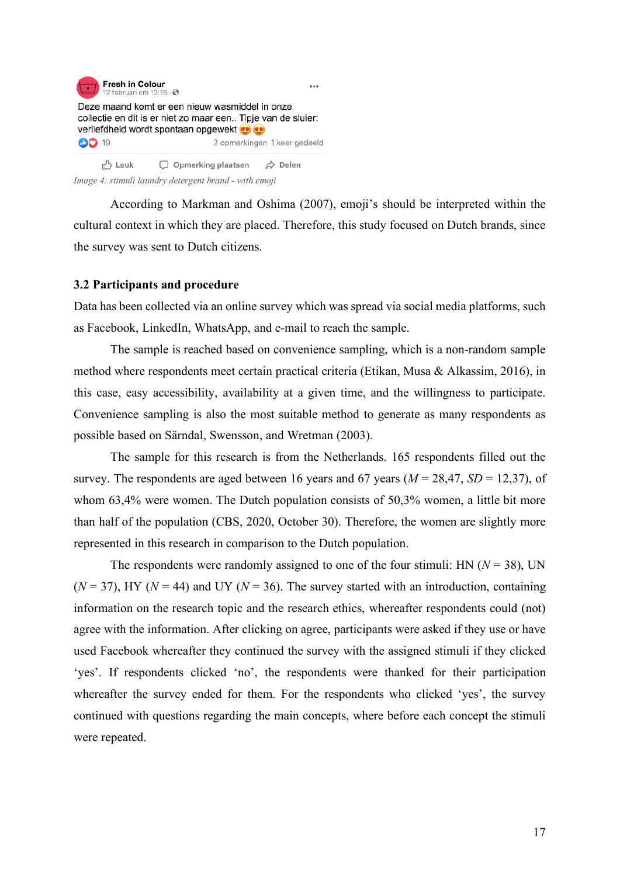

**心** Leuk O Opmerking plaatsen  $\phi$  Delen *Image 4: stimuli laundry detergent brand - with emoji*

According to Markman and Oshima (2007), emoji's should be interpreted within the cultural context in which they are placed. Therefore, this study focused on Dutch brands, since the survey was sent to Dutch citizens.

### <span id="page-16-0"></span>**3.2 Participants and procedure**

Data has been collected via an online survey which was spread via social media platforms, such as Facebook, LinkedIn, WhatsApp, and e-mail to reach the sample.

The sample is reached based on convenience sampling, which is a non-random sample method where respondents meet certain practical criteria (Etikan, Musa & Alkassim, 2016), in this case, easy accessibility, availability at a given time, and the willingness to participate. Convenience sampling is also the most suitable method to generate as many respondents as possible based on Särndal, Swensson, and Wretman (2003).

The sample for this research is from the Netherlands. 165 respondents filled out the survey. The respondents are aged between 16 years and 67 years  $(M = 28,47, SD = 12,37)$ , of whom 63,4% were women. The Dutch population consists of 50,3% women, a little bit more than half of the population (CBS, 2020, October 30). Therefore, the women are slightly more represented in this research in comparison to the Dutch population.

The respondents were randomly assigned to one of the four stimuli: HN  $(N = 38)$ , UN  $(N = 37)$ , HY ( $N = 44$ ) and UY ( $N = 36$ ). The survey started with an introduction, containing information on the research topic and the research ethics, whereafter respondents could (not) agree with the information. After clicking on agree, participants were asked if they use or have used Facebook whereafter they continued the survey with the assigned stimuli if they clicked 'yes'. If respondents clicked 'no', the respondents were thanked for their participation whereafter the survey ended for them. For the respondents who clicked 'yes', the survey continued with questions regarding the main concepts, where before each concept the stimuli were repeated.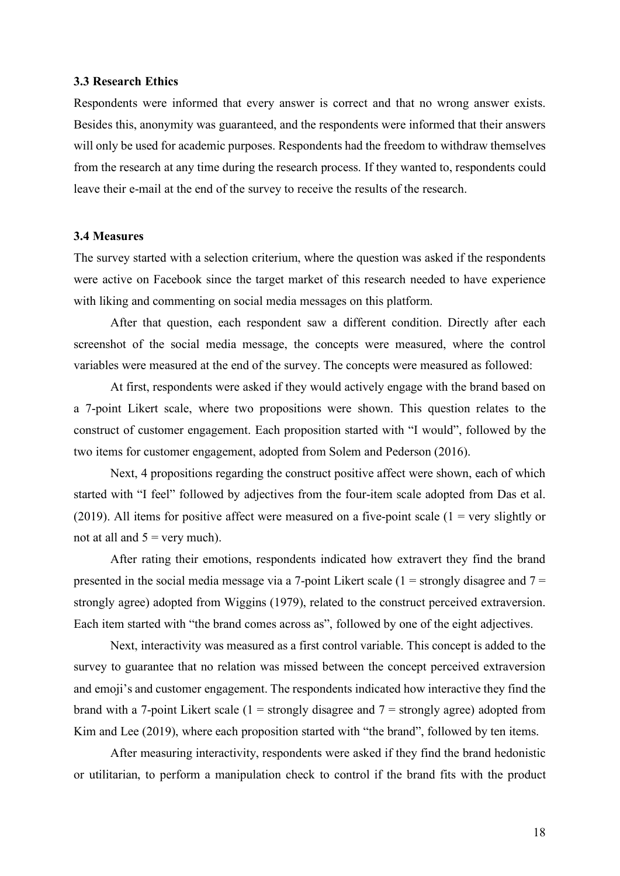#### <span id="page-17-0"></span>**3.3 Research Ethics**

Respondents were informed that every answer is correct and that no wrong answer exists. Besides this, anonymity was guaranteed, and the respondents were informed that their answers will only be used for academic purposes. Respondents had the freedom to withdraw themselves from the research at any time during the research process. If they wanted to, respondents could leave their e-mail at the end of the survey to receive the results of the research.

#### <span id="page-17-1"></span>**3.4 Measures**

The survey started with a selection criterium, where the question was asked if the respondents were active on Facebook since the target market of this research needed to have experience with liking and commenting on social media messages on this platform.

After that question, each respondent saw a different condition. Directly after each screenshot of the social media message, the concepts were measured, where the control variables were measured at the end of the survey. The concepts were measured as followed:

At first, respondents were asked if they would actively engage with the brand based on a 7-point Likert scale, where two propositions were shown. This question relates to the construct of customer engagement. Each proposition started with "I would", followed by the two items for customer engagement, adopted from Solem and Pederson (2016).

Next, 4 propositions regarding the construct positive affect were shown, each of which started with "I feel" followed by adjectives from the four-item scale adopted from Das et al. (2019). All items for positive affect were measured on a five-point scale  $(1 = \text{very slightly or})$ not at all and  $5 =$  very much).

After rating their emotions, respondents indicated how extravert they find the brand presented in the social media message via a 7-point Likert scale  $(1 =$  strongly disagree and  $7 =$ strongly agree) adopted from Wiggins (1979), related to the construct perceived extraversion. Each item started with "the brand comes across as", followed by one of the eight adjectives.

Next, interactivity was measured as a first control variable. This concept is added to the survey to guarantee that no relation was missed between the concept perceived extraversion and emoji's and customer engagement. The respondents indicated how interactive they find the brand with a 7-point Likert scale ( $1 =$  strongly disagree and  $7 =$  strongly agree) adopted from Kim and Lee (2019), where each proposition started with "the brand", followed by ten items.

After measuring interactivity, respondents were asked if they find the brand hedonistic or utilitarian, to perform a manipulation check to control if the brand fits with the product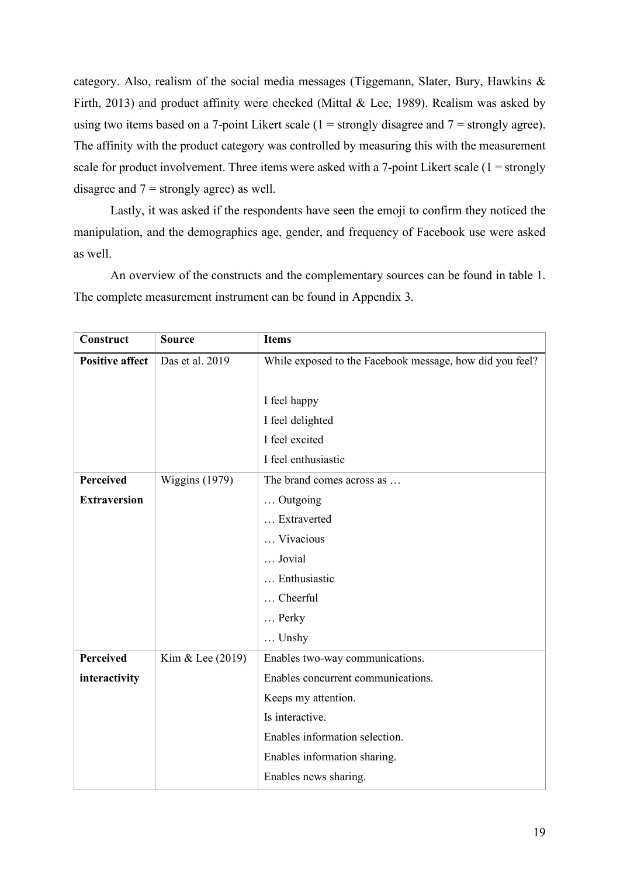category. Also, realism of the social media messages (Tiggemann, Slater, Bury, Hawkins & Firth, 2013) and product affinity were checked (Mittal & Lee, 1989). Realism was asked by using two items based on a 7-point Likert scale  $(1 =$  strongly disagree and  $7 =$  strongly agree). The affinity with the product category was controlled by measuring this with the measurement scale for product involvement. Three items were asked with a 7-point Likert scale  $(1 =$  strongly disagree and  $7 =$  strongly agree) as well.

Lastly, it was asked if the respondents have seen the emoji to confirm they noticed the manipulation, and the demographics age, gender, and frequency of Facebook use were asked as well.

An overview of the constructs and the complementary sources can be found in table 1. The complete measurement instrument can be found in Appendix 3.

| Construct              | <b>Source</b>         | <b>Items</b>                                             |  |  |  |
|------------------------|-----------------------|----------------------------------------------------------|--|--|--|
| <b>Positive affect</b> | Das et al. 2019       | While exposed to the Facebook message, how did you feel? |  |  |  |
|                        |                       |                                                          |  |  |  |
|                        |                       | I feel happy                                             |  |  |  |
|                        |                       | I feel delighted                                         |  |  |  |
|                        |                       | I feel excited                                           |  |  |  |
|                        |                       | I feel enthusiastic                                      |  |  |  |
| <b>Perceived</b>       | <b>Wiggins</b> (1979) | The brand comes across as                                |  |  |  |
| <b>Extraversion</b>    |                       | Outgoing                                                 |  |  |  |
|                        |                       | Extraverted                                              |  |  |  |
|                        |                       | Vivacious                                                |  |  |  |
|                        |                       | Jovial                                                   |  |  |  |
|                        |                       | Enthusiastic                                             |  |  |  |
|                        |                       | Cheerful                                                 |  |  |  |
|                        |                       | Perky                                                    |  |  |  |
|                        |                       | $\ldots$ Unshy                                           |  |  |  |
| <b>Perceived</b>       | Kim & Lee (2019)      | Enables two-way communications.                          |  |  |  |
| interactivity          |                       | Enables concurrent communications.                       |  |  |  |
|                        |                       | Keeps my attention.                                      |  |  |  |
|                        |                       | Is interactive.                                          |  |  |  |
|                        |                       | Enables information selection.                           |  |  |  |
|                        |                       | Enables information sharing.                             |  |  |  |
|                        |                       | Enables news sharing.                                    |  |  |  |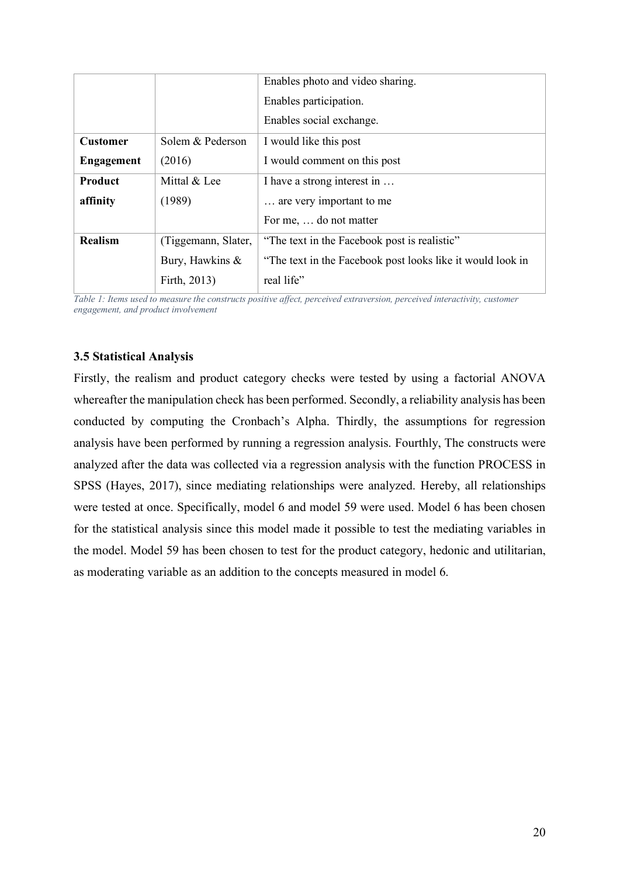|                   |                     | Enables photo and video sharing.                           |
|-------------------|---------------------|------------------------------------------------------------|
|                   |                     | Enables participation.                                     |
|                   |                     | Enables social exchange.                                   |
| <b>Customer</b>   | Solem & Pederson    | I would like this post                                     |
| <b>Engagement</b> | (2016)              | I would comment on this post                               |
| Product           | Mittal & Lee        | I have a strong interest in                                |
| affinity          | (1989)              | are very important to me                                   |
|                   |                     | For me,  do not matter                                     |
| <b>Realism</b>    | (Tiggemann, Slater, | "The text in the Facebook post is realistic"               |
|                   | Bury, Hawkins &     | "The text in the Facebook post looks like it would look in |
|                   | Firth, 2013)        | real life"                                                 |

*Table 1: Items used to measure the constructs positive affect, perceived extraversion, perceived interactivity, customer engagement, and product involvement*

### <span id="page-19-0"></span>**3.5 Statistical Analysis**

Firstly, the realism and product category checks were tested by using a factorial ANOVA whereafter the manipulation check has been performed. Secondly, a reliability analysis has been conducted by computing the Cronbach's Alpha. Thirdly, the assumptions for regression analysis have been performed by running a regression analysis. Fourthly, The constructs were analyzed after the data was collected via a regression analysis with the function PROCESS in SPSS (Hayes, 2017), since mediating relationships were analyzed. Hereby, all relationships were tested at once. Specifically, model 6 and model 59 were used. Model 6 has been chosen for the statistical analysis since this model made it possible to test the mediating variables in the model. Model 59 has been chosen to test for the product category, hedonic and utilitarian, as moderating variable as an addition to the concepts measured in model 6.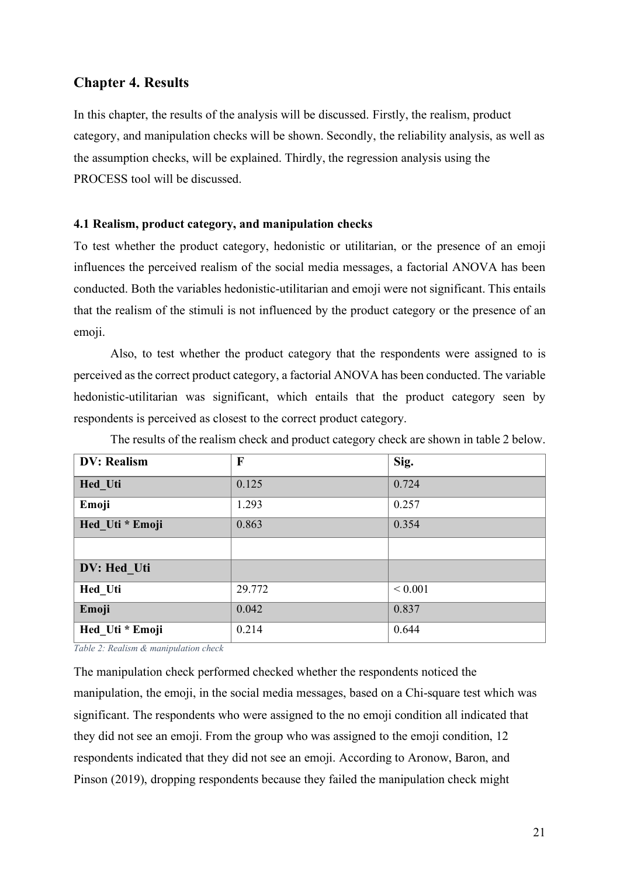### <span id="page-20-0"></span>**Chapter 4. Results**

In this chapter, the results of the analysis will be discussed. Firstly, the realism, product category, and manipulation checks will be shown. Secondly, the reliability analysis, as well as the assumption checks, will be explained. Thirdly, the regression analysis using the PROCESS tool will be discussed.

#### <span id="page-20-1"></span>**4.1 Realism, product category, and manipulation checks**

To test whether the product category, hedonistic or utilitarian, or the presence of an emoji influences the perceived realism of the social media messages, a factorial ANOVA has been conducted. Both the variables hedonistic-utilitarian and emoji were not significant. This entails that the realism of the stimuli is not influenced by the product category or the presence of an emoji.

Also, to test whether the product category that the respondents were assigned to is perceived as the correct product category, a factorial ANOVA has been conducted. The variable hedonistic-utilitarian was significant, which entails that the product category seen by respondents is perceived as closest to the correct product category.

| The results of the realism check and product category check are shown in table 2 below. |  |  |  |
|-----------------------------------------------------------------------------------------|--|--|--|
|-----------------------------------------------------------------------------------------|--|--|--|

| <b>DV: Realism</b> | $\mathbf{F}$ | Sig.        |
|--------------------|--------------|-------------|
| Hed Uti            | 0.125        | 0.724       |
| Emoji              | 1.293        | 0.257       |
| Hed_Uti * Emoji    | 0.863        | 0.354       |
|                    |              |             |
| DV: Hed Uti        |              |             |
| Hed Uti            | 29.772       | ${}< 0.001$ |
| Emoji              | 0.042        | 0.837       |
| Hed_Uti * Emoji    | 0.214        | 0.644       |

*Table 2: Realism & manipulation check*

The manipulation check performed checked whether the respondents noticed the manipulation, the emoji, in the social media messages, based on a Chi-square test which was significant. The respondents who were assigned to the no emoji condition all indicated that they did not see an emoji. From the group who was assigned to the emoji condition, 12 respondents indicated that they did not see an emoji. According to Aronow, Baron, and Pinson (2019), dropping respondents because they failed the manipulation check might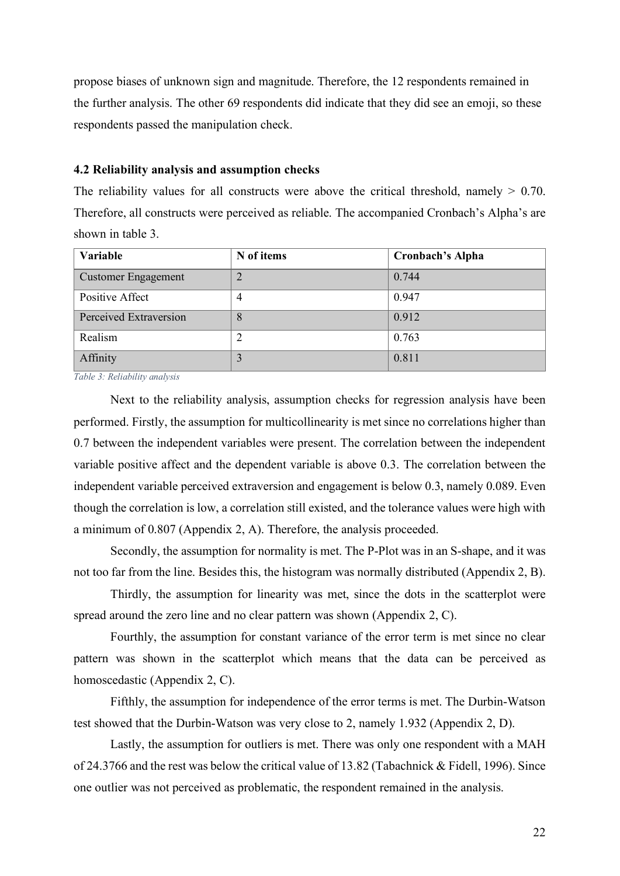propose biases of unknown sign and magnitude. Therefore, the 12 respondents remained in the further analysis. The other 69 respondents did indicate that they did see an emoji, so these respondents passed the manipulation check.

#### <span id="page-21-0"></span>**4.2 Reliability analysis and assumption checks**

The reliability values for all constructs were above the critical threshold, namely  $> 0.70$ . Therefore, all constructs were perceived as reliable. The accompanied Cronbach's Alpha's are shown in table 3.

| <b>Variable</b>            | N of items | <b>Cronbach's Alpha</b> |
|----------------------------|------------|-------------------------|
| <b>Customer Engagement</b> | 2          | 0.744                   |
| Positive Affect            | 4          | 0.947                   |
| Perceived Extraversion     | 8          | 0.912                   |
| Realism                    | 2          | 0.763                   |
| Affinity                   | 3          | 0.811                   |

*Table 3: Reliability analysis*

Next to the reliability analysis, assumption checks for regression analysis have been performed. Firstly, the assumption for multicollinearity is met since no correlations higher than 0.7 between the independent variables were present. The correlation between the independent variable positive affect and the dependent variable is above 0.3. The correlation between the independent variable perceived extraversion and engagement is below 0.3, namely 0.089. Even though the correlation is low, a correlation still existed, and the tolerance values were high with a minimum of 0.807 (Appendix 2, A). Therefore, the analysis proceeded.

Secondly, the assumption for normality is met. The P-Plot was in an S-shape, and it was not too far from the line. Besides this, the histogram was normally distributed (Appendix 2, B).

Thirdly, the assumption for linearity was met, since the dots in the scatterplot were spread around the zero line and no clear pattern was shown (Appendix 2, C).

Fourthly, the assumption for constant variance of the error term is met since no clear pattern was shown in the scatterplot which means that the data can be perceived as homoscedastic (Appendix 2, C).

Fifthly, the assumption for independence of the error terms is met. The Durbin-Watson test showed that the Durbin-Watson was very close to 2, namely 1.932 (Appendix 2, D).

Lastly, the assumption for outliers is met. There was only one respondent with a MAH of 24.3766 and the rest was below the critical value of 13.82 (Tabachnick & Fidell, 1996). Since one outlier was not perceived as problematic, the respondent remained in the analysis.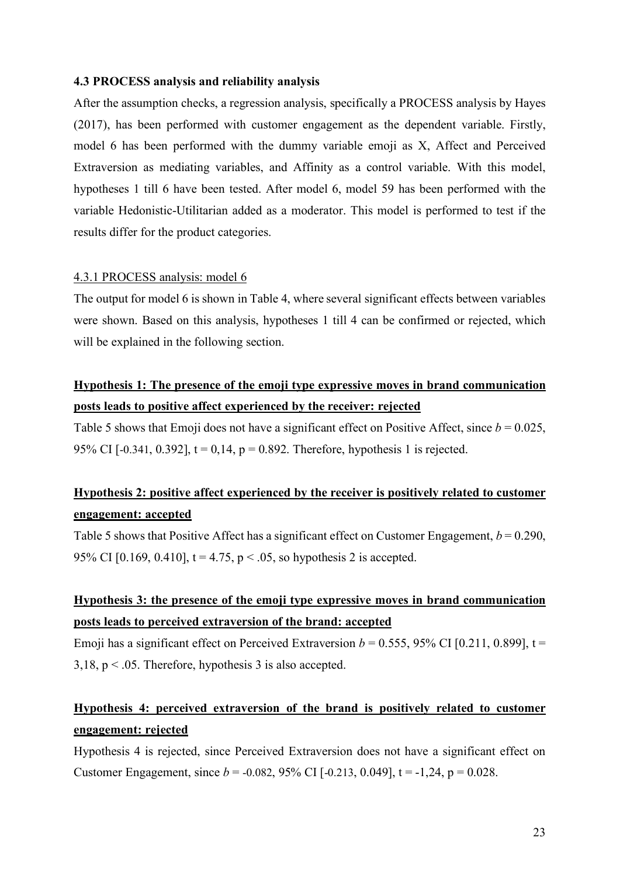#### <span id="page-22-0"></span>**4.3 PROCESS analysis and reliability analysis**

After the assumption checks, a regression analysis, specifically a PROCESS analysis by Hayes (2017), has been performed with customer engagement as the dependent variable. Firstly, model 6 has been performed with the dummy variable emoji as X, Affect and Perceived Extraversion as mediating variables, and Affinity as a control variable. With this model, hypotheses 1 till 6 have been tested. After model 6, model 59 has been performed with the variable Hedonistic-Utilitarian added as a moderator. This model is performed to test if the results differ for the product categories.

#### <span id="page-22-1"></span>4.3.1 PROCESS analysis: model 6

The output for model 6 is shown in Table 4, where several significant effects between variables were shown. Based on this analysis, hypotheses 1 till 4 can be confirmed or rejected, which will be explained in the following section.

### **Hypothesis 1: The presence of the emoji type expressive moves in brand communication posts leads to positive affect experienced by the receiver: rejected**

Table 5 shows that Emoji does not have a significant effect on Positive Affect, since  $b = 0.025$ , 95% CI [-0.341, 0.392],  $t = 0.14$ ,  $p = 0.892$ . Therefore, hypothesis 1 is rejected.

### **Hypothesis 2: positive affect experienced by the receiver is positively related to customer engagement: accepted**

Table 5 shows that Positive Affect has a significant effect on Customer Engagement,  $b = 0.290$ , 95% CI [0.169, 0.410],  $t = 4.75$ ,  $p < .05$ , so hypothesis 2 is accepted.

### **Hypothesis 3: the presence of the emoji type expressive moves in brand communication posts leads to perceived extraversion of the brand: accepted**

Emoji has a significant effect on Perceived Extraversion  $b = 0.555$ , 95% CI [0.211, 0.899], t = 3,18,  $p < 0.05$ . Therefore, hypothesis 3 is also accepted.

### **Hypothesis 4: perceived extraversion of the brand is positively related to customer engagement: rejected**

Hypothesis 4 is rejected, since Perceived Extraversion does not have a significant effect on Customer Engagement, since  $b = -0.082, 95\%$  CI  $[-0.213, 0.049]$ ,  $t = -1,24$ ,  $p = 0.028$ .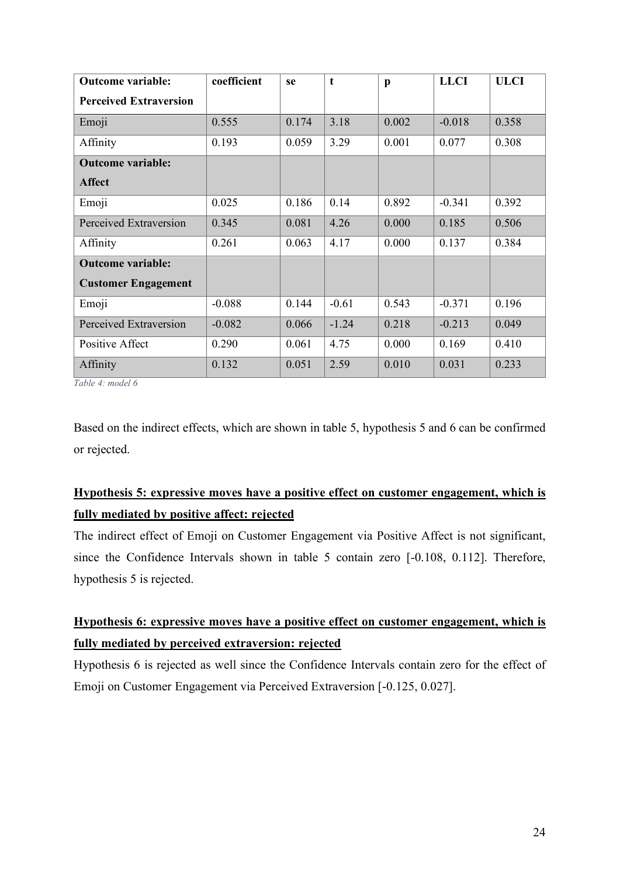| <b>Outcome variable:</b>      | coefficient | se.   | $\mathbf{t}$ | p     | <b>LLCI</b> | <b>ULCI</b> |
|-------------------------------|-------------|-------|--------------|-------|-------------|-------------|
| <b>Perceived Extraversion</b> |             |       |              |       |             |             |
| Emoji                         | 0.555       | 0.174 | 3.18         | 0.002 | $-0.018$    | 0.358       |
| Affinity                      | 0.193       | 0.059 | 3.29         | 0.001 | 0.077       | 0.308       |
| <b>Outcome</b> variable:      |             |       |              |       |             |             |
| <b>Affect</b>                 |             |       |              |       |             |             |
| Emoji                         | 0.025       | 0.186 | 0.14         | 0.892 | $-0.341$    | 0.392       |
| Perceived Extraversion        | 0.345       | 0.081 | 4.26         | 0.000 | 0.185       | 0.506       |
| Affinity                      | 0.261       | 0.063 | 4.17         | 0.000 | 0.137       | 0.384       |
| <b>Outcome variable:</b>      |             |       |              |       |             |             |
| <b>Customer Engagement</b>    |             |       |              |       |             |             |
| Emoji                         | $-0.088$    | 0.144 | $-0.61$      | 0.543 | $-0.371$    | 0.196       |
| Perceived Extraversion        | $-0.082$    | 0.066 | $-1.24$      | 0.218 | $-0.213$    | 0.049       |
| Positive Affect               | 0.290       | 0.061 | 4.75         | 0.000 | 0.169       | 0.410       |
| Affinity                      | 0.132       | 0.051 | 2.59         | 0.010 | 0.031       | 0.233       |

*Table 4: model 6* 

Based on the indirect effects, which are shown in table 5, hypothesis 5 and 6 can be confirmed or rejected.

### **Hypothesis 5: expressive moves have a positive effect on customer engagement, which is fully mediated by positive affect: rejected**

The indirect effect of Emoji on Customer Engagement via Positive Affect is not significant, since the Confidence Intervals shown in table 5 contain zero [-0.108, 0.112]. Therefore, hypothesis 5 is rejected.

### **Hypothesis 6: expressive moves have a positive effect on customer engagement, which is fully mediated by perceived extraversion: rejected**

Hypothesis 6 is rejected as well since the Confidence Intervals contain zero for the effect of Emoji on Customer Engagement via Perceived Extraversion [-0.125, 0.027].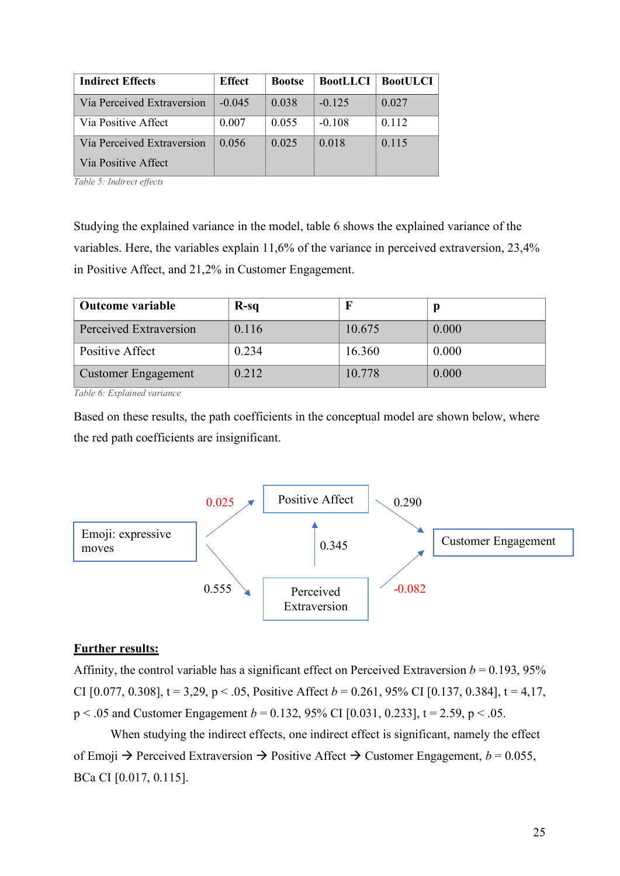| <b>Indirect Effects</b>    | <b>Effect</b> | <b>Bootse</b> | <b>BootLLCI</b> | <b>BootULCI</b> |
|----------------------------|---------------|---------------|-----------------|-----------------|
| Via Perceived Extraversion | $-0.045$      | 0.038         | $-0.125$        | 0.027           |
| Via Positive Affect        | 0.007         | 0.055         | $-0.108$        | 0.112           |
| Via Perceived Extraversion | 0.056         | 0.025         | 0.018           | 0.115           |
| Via Positive Affect        |               |               |                 |                 |

*Table 5: Indirect effects*

Studying the explained variance in the model, table 6 shows the explained variance of the variables. Here, the variables explain 11,6% of the variance in perceived extraversion, 23,4% in Positive Affect, and 21,2% in Customer Engagement.

| <b>Outcome variable</b>    | $R-sq$ |        |       |
|----------------------------|--------|--------|-------|
| Perceived Extraversion     | 0.116  | 10.675 | 0.000 |
| Positive Affect            | 0.234  | 16.360 | 0.000 |
| <b>Customer Engagement</b> | 0.212  | 10.778 | 0.000 |

*Table 6: Explained variance*

Based on these results, the path coefficients in the conceptual model are shown below, where the red path coefficients are insignificant.



### **Further results:**

Affinity, the control variable has a significant effect on Perceived Extraversion  $b = 0.193, 95\%$ CI [0.077, 0.308],  $t = 3,29$ ,  $p < .05$ , Positive Affect  $b = 0.261$ , 95% CI [0.137, 0.384],  $t = 4,17$ ,  $p < .05$  and Customer Engagement  $b = 0.132$ , 95% CI [0.031, 0.233], t = 2.59, p < .05.

When studying the indirect effects, one indirect effect is significant, namely the effect of Emoji  $\rightarrow$  Perceived Extraversion  $\rightarrow$  Positive Affect  $\rightarrow$  Customer Engagement, *b* = 0.055, BCa CI [0.017, 0.115].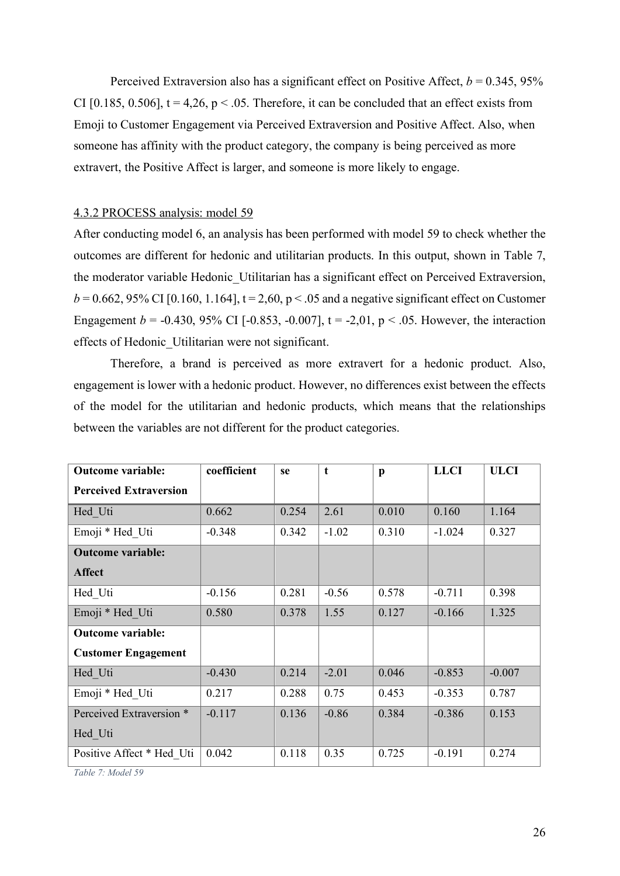Perceived Extraversion also has a significant effect on Positive Affect,  $b = 0.345, 95\%$ CI [0.185, 0.506],  $t = 4.26$ ,  $p < .05$ . Therefore, it can be concluded that an effect exists from Emoji to Customer Engagement via Perceived Extraversion and Positive Affect. Also, when someone has affinity with the product category, the company is being perceived as more extravert, the Positive Affect is larger, and someone is more likely to engage.

#### <span id="page-25-0"></span>4.3.2 PROCESS analysis: model 59

After conducting model 6, an analysis has been performed with model 59 to check whether the outcomes are different for hedonic and utilitarian products. In this output, shown in Table 7, the moderator variable Hedonic\_Utilitarian has a significant effect on Perceived Extraversion,  $b = 0.662$ , 95% CI [0.160, 1.164],  $t = 2.60$ ,  $p < 0.05$  and a negative significant effect on Customer Engagement  $b = -0.430, 95\%$  CI [ $-0.853, -0.007$ ],  $t = -2.01, p < 0.05$ . However, the interaction effects of Hedonic\_Utilitarian were not significant.

Therefore, a brand is perceived as more extravert for a hedonic product. Also, engagement is lower with a hedonic product. However, no differences exist between the effects of the model for the utilitarian and hedonic products, which means that the relationships between the variables are not different for the product categories.

| <b>Outcome variable:</b>      | coefficient | se    | t       | $\mathbf{p}$ | <b>LLCI</b> | <b>ULCI</b> |
|-------------------------------|-------------|-------|---------|--------------|-------------|-------------|
| <b>Perceived Extraversion</b> |             |       |         |              |             |             |
| Hed Uti                       | 0.662       | 0.254 | 2.61    | 0.010        | 0.160       | 1.164       |
| Emoji * Hed Uti               | $-0.348$    | 0.342 | $-1.02$ | 0.310        | $-1.024$    | 0.327       |
| <b>Outcome variable:</b>      |             |       |         |              |             |             |
| <b>Affect</b>                 |             |       |         |              |             |             |
| Hed Uti                       | $-0.156$    | 0.281 | $-0.56$ | 0.578        | $-0.711$    | 0.398       |
| Emoji * Hed Uti               | 0.580       | 0.378 | 1.55    | 0.127        | $-0.166$    | 1.325       |
| <b>Outcome variable:</b>      |             |       |         |              |             |             |
| <b>Customer Engagement</b>    |             |       |         |              |             |             |
| Hed Uti                       | $-0.430$    | 0.214 | $-2.01$ | 0.046        | $-0.853$    | $-0.007$    |
| Emoji * Hed Uti               | 0.217       | 0.288 | 0.75    | 0.453        | $-0.353$    | 0.787       |
| Perceived Extraversion *      | $-0.117$    | 0.136 | $-0.86$ | 0.384        | $-0.386$    | 0.153       |
| Hed Uti                       |             |       |         |              |             |             |
| Positive Affect * Hed Uti     | 0.042       | 0.118 | 0.35    | 0.725        | $-0.191$    | 0.274       |

*Table 7: Model 59*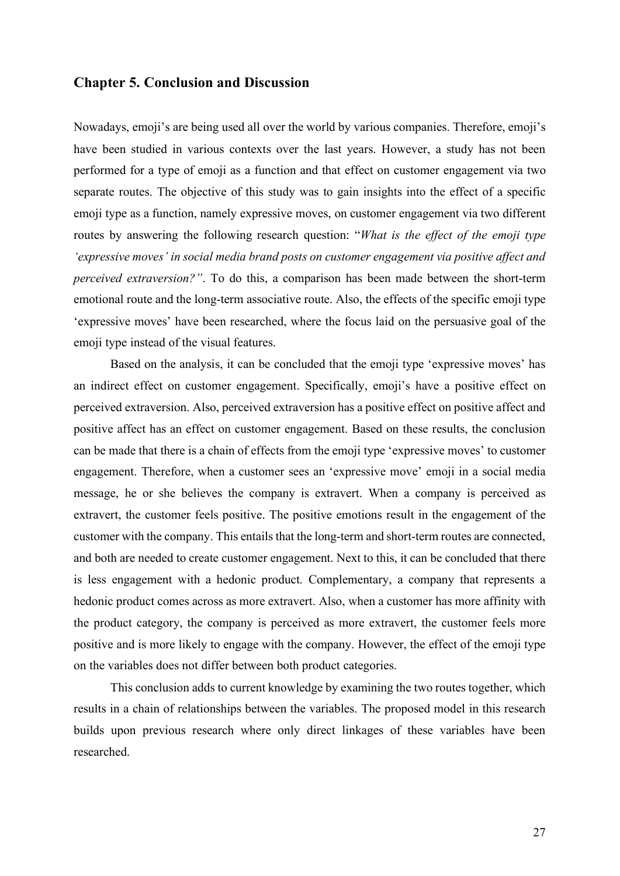### <span id="page-26-0"></span>**Chapter 5. Conclusion and Discussion**

Nowadays, emoji's are being used all over the world by various companies. Therefore, emoji's have been studied in various contexts over the last years. However, a study has not been performed for a type of emoji as a function and that effect on customer engagement via two separate routes. The objective of this study was to gain insights into the effect of a specific emoji type as a function, namely expressive moves, on customer engagement via two different routes by answering the following research question: "*What is the effect of the emoji type 'expressive moves' in social media brand posts on customer engagement via positive affect and perceived extraversion?"*. To do this, a comparison has been made between the short-term emotional route and the long-term associative route. Also, the effects of the specific emoji type 'expressive moves' have been researched, where the focus laid on the persuasive goal of the emoji type instead of the visual features.

Based on the analysis, it can be concluded that the emoji type 'expressive moves' has an indirect effect on customer engagement. Specifically, emoji's have a positive effect on perceived extraversion. Also, perceived extraversion has a positive effect on positive affect and positive affect has an effect on customer engagement. Based on these results, the conclusion can be made that there is a chain of effects from the emoji type 'expressive moves' to customer engagement. Therefore, when a customer sees an 'expressive move' emoji in a social media message, he or she believes the company is extravert. When a company is perceived as extravert, the customer feels positive. The positive emotions result in the engagement of the customer with the company. This entails that the long-term and short-term routes are connected, and both are needed to create customer engagement. Next to this, it can be concluded that there is less engagement with a hedonic product. Complementary, a company that represents a hedonic product comes across as more extravert. Also, when a customer has more affinity with the product category, the company is perceived as more extravert, the customer feels more positive and is more likely to engage with the company. However, the effect of the emoji type on the variables does not differ between both product categories.

This conclusion adds to current knowledge by examining the two routes together, which results in a chain of relationships between the variables. The proposed model in this research builds upon previous research where only direct linkages of these variables have been researched.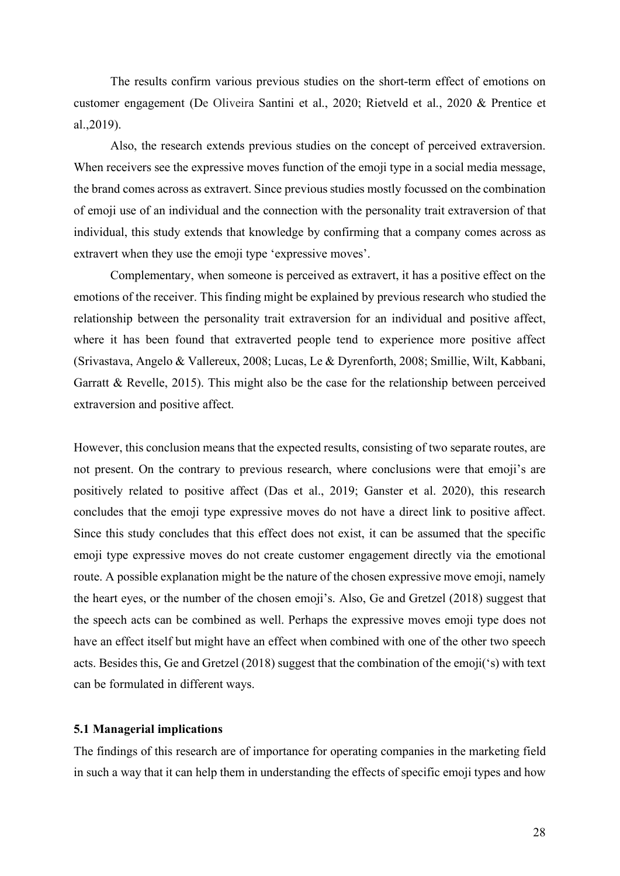The results confirm various previous studies on the short-term effect of emotions on customer engagement (De Oliveira Santini et al., 2020; Rietveld et al., 2020 & Prentice et al.,2019).

Also, the research extends previous studies on the concept of perceived extraversion. When receivers see the expressive moves function of the emoji type in a social media message, the brand comes across as extravert. Since previous studies mostly focussed on the combination of emoji use of an individual and the connection with the personality trait extraversion of that individual, this study extends that knowledge by confirming that a company comes across as extravert when they use the emoji type 'expressive moves'.

Complementary, when someone is perceived as extravert, it has a positive effect on the emotions of the receiver. This finding might be explained by previous research who studied the relationship between the personality trait extraversion for an individual and positive affect, where it has been found that extraverted people tend to experience more positive affect (Srivastava, Angelo & Vallereux, 2008; Lucas, Le & Dyrenforth, 2008; Smillie, Wilt, Kabbani, Garratt & Revelle, 2015). This might also be the case for the relationship between perceived extraversion and positive affect.

However, this conclusion means that the expected results, consisting of two separate routes, are not present. On the contrary to previous research, where conclusions were that emoji's are positively related to positive affect (Das et al., 2019; Ganster et al. 2020), this research concludes that the emoji type expressive moves do not have a direct link to positive affect. Since this study concludes that this effect does not exist, it can be assumed that the specific emoji type expressive moves do not create customer engagement directly via the emotional route. A possible explanation might be the nature of the chosen expressive move emoji, namely the heart eyes, or the number of the chosen emoji's. Also, Ge and Gretzel (2018) suggest that the speech acts can be combined as well. Perhaps the expressive moves emoji type does not have an effect itself but might have an effect when combined with one of the other two speech acts. Besides this, Ge and Gretzel (2018) suggest that the combination of the emoji('s) with text can be formulated in different ways.

#### <span id="page-27-0"></span>**5.1 Managerial implications**

The findings of this research are of importance for operating companies in the marketing field in such a way that it can help them in understanding the effects of specific emoji types and how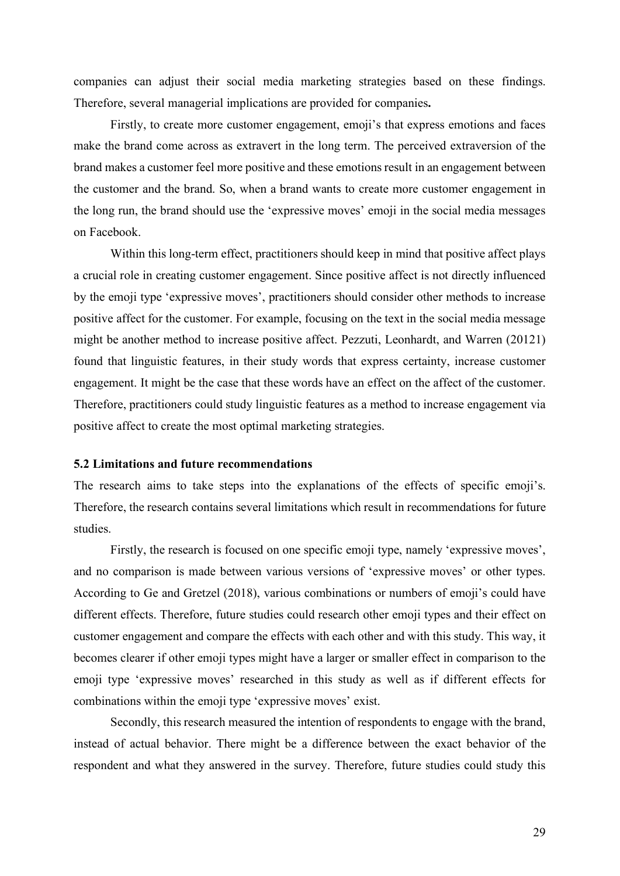companies can adjust their social media marketing strategies based on these findings. Therefore, several managerial implications are provided for companies**.** 

Firstly, to create more customer engagement, emoji's that express emotions and faces make the brand come across as extravert in the long term. The perceived extraversion of the brand makes a customer feel more positive and these emotions result in an engagement between the customer and the brand. So, when a brand wants to create more customer engagement in the long run, the brand should use the 'expressive moves' emoji in the social media messages on Facebook.

Within this long-term effect, practitioners should keep in mind that positive affect plays a crucial role in creating customer engagement. Since positive affect is not directly influenced by the emoji type 'expressive moves', practitioners should consider other methods to increase positive affect for the customer. For example, focusing on the text in the social media message might be another method to increase positive affect. Pezzuti, Leonhardt, and Warren (20121) found that linguistic features, in their study words that express certainty, increase customer engagement. It might be the case that these words have an effect on the affect of the customer. Therefore, practitioners could study linguistic features as a method to increase engagement via positive affect to create the most optimal marketing strategies.

#### <span id="page-28-0"></span>**5.2 Limitations and future recommendations**

The research aims to take steps into the explanations of the effects of specific emoji's. Therefore, the research contains several limitations which result in recommendations for future studies.

Firstly, the research is focused on one specific emoji type, namely 'expressive moves', and no comparison is made between various versions of 'expressive moves' or other types. According to Ge and Gretzel (2018), various combinations or numbers of emoji's could have different effects. Therefore, future studies could research other emoji types and their effect on customer engagement and compare the effects with each other and with this study. This way, it becomes clearer if other emoji types might have a larger or smaller effect in comparison to the emoji type 'expressive moves' researched in this study as well as if different effects for combinations within the emoji type 'expressive moves' exist.

Secondly, this research measured the intention of respondents to engage with the brand, instead of actual behavior. There might be a difference between the exact behavior of the respondent and what they answered in the survey. Therefore, future studies could study this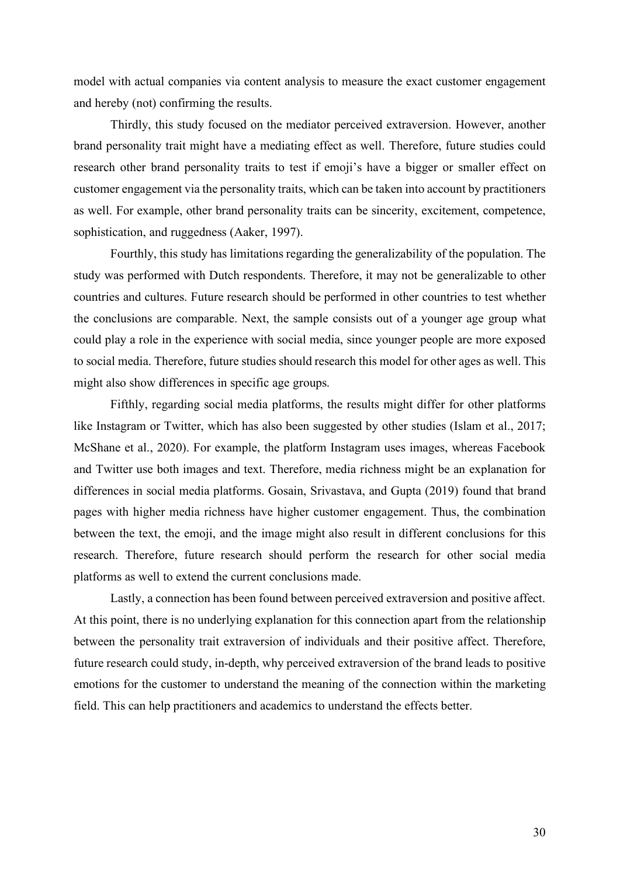model with actual companies via content analysis to measure the exact customer engagement and hereby (not) confirming the results.

Thirdly, this study focused on the mediator perceived extraversion. However, another brand personality trait might have a mediating effect as well. Therefore, future studies could research other brand personality traits to test if emoji's have a bigger or smaller effect on customer engagement via the personality traits, which can be taken into account by practitioners as well. For example, other brand personality traits can be sincerity, excitement, competence, sophistication, and ruggedness (Aaker, 1997).

Fourthly, this study has limitations regarding the generalizability of the population. The study was performed with Dutch respondents. Therefore, it may not be generalizable to other countries and cultures. Future research should be performed in other countries to test whether the conclusions are comparable. Next, the sample consists out of a younger age group what could play a role in the experience with social media, since younger people are more exposed to social media. Therefore, future studies should research this model for other ages as well. This might also show differences in specific age groups.

Fifthly, regarding social media platforms, the results might differ for other platforms like Instagram or Twitter, which has also been suggested by other studies (Islam et al., 2017; McShane et al., 2020). For example, the platform Instagram uses images, whereas Facebook and Twitter use both images and text. Therefore, media richness might be an explanation for differences in social media platforms. Gosain, Srivastava, and Gupta (2019) found that brand pages with higher media richness have higher customer engagement. Thus, the combination between the text, the emoji, and the image might also result in different conclusions for this research. Therefore, future research should perform the research for other social media platforms as well to extend the current conclusions made.

Lastly, a connection has been found between perceived extraversion and positive affect. At this point, there is no underlying explanation for this connection apart from the relationship between the personality trait extraversion of individuals and their positive affect. Therefore, future research could study, in-depth, why perceived extraversion of the brand leads to positive emotions for the customer to understand the meaning of the connection within the marketing field. This can help practitioners and academics to understand the effects better.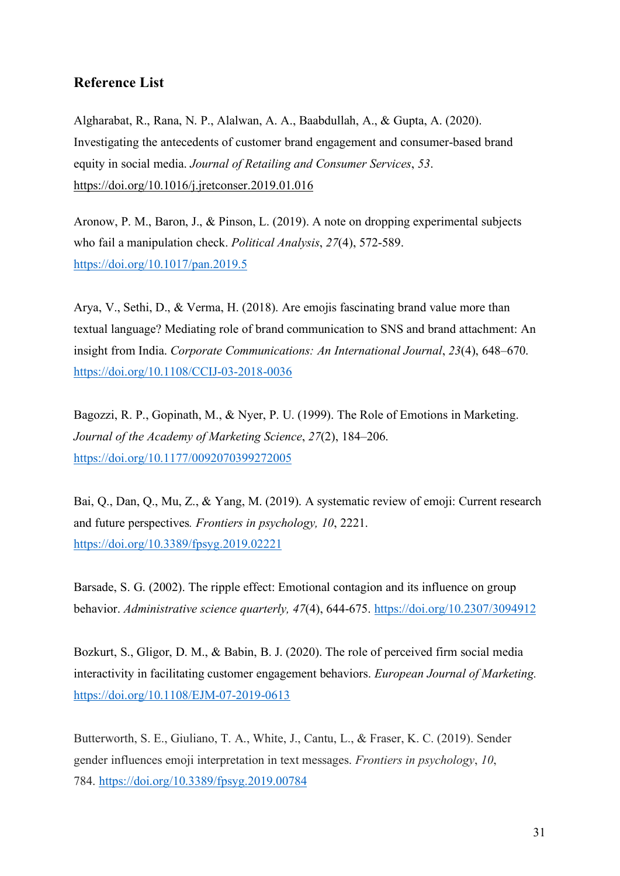### <span id="page-30-0"></span>**Reference List**

Algharabat, R., Rana, N. P., Alalwan, A. A., Baabdullah, A., & Gupta, A. (2020). Investigating the antecedents of customer brand engagement and consumer-based brand equity in social media. *Journal of Retailing and Consumer Services*, *53*. <https://doi.org/10.1016/j.jretconser.2019.01.016>

Aronow, P. M., Baron, J., & Pinson, L. (2019). A note on dropping experimental subjects who fail a manipulation check. *Political Analysis*, *27*(4), 572-589. <https://doi.org/10.1017/pan.2019.5>

Arya, V., Sethi, D., & Verma, H. (2018). Are emojis fascinating brand value more than textual language? Mediating role of brand communication to SNS and brand attachment: An insight from India. *Corporate Communications: An International Journal*, *23*(4), 648–670. <https://doi.org/10.1108/CCIJ-03-2018-0036>

Bagozzi, R. P., Gopinath, M., & Nyer, P. U. (1999). The Role of Emotions in Marketing. *Journal of the Academy of Marketing Science*, *27*(2), 184–206. <https://doi.org/10.1177/0092070399272005>

Bai, Q., Dan, Q., Mu, Z., & Yang, M. (2019). A systematic review of emoji: Current research and future perspectives*. Frontiers in psychology, 10*, 2221. <https://doi.org/10.3389/fpsyg.2019.02221>

Barsade, S. G. (2002). The ripple effect: Emotional contagion and its influence on group behavior. *Administrative science quarterly, 47*(4), 644-675. [https://doi.org/10.2307/3094912](https://doi.org/10.2307%2F3094912)

Bozkurt, S., Gligor, D. M., & Babin, B. J. (2020). The role of perceived firm social media interactivity in facilitating customer engagement behaviors. *European Journal of Marketing.* <https://doi.org/10.1108/EJM-07-2019-0613>

Butterworth, S. E., Giuliano, T. A., White, J., Cantu, L., & Fraser, K. C. (2019). Sender gender influences emoji interpretation in text messages. *Frontiers in psychology*, *10*, 784. <https://doi.org/10.3389/fpsyg.2019.00784>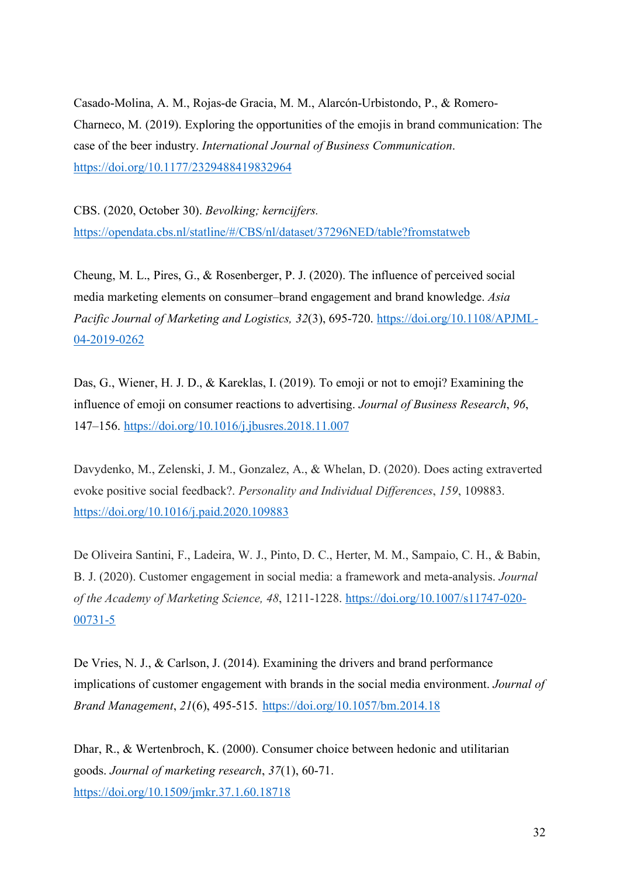Casado-Molina, A. M., Rojas-de Gracia, M. M., Alarcón-Urbistondo, P., & Romero-Charneco, M. (2019). Exploring the opportunities of the emojis in brand communication: The case of the beer industry. *International Journal of Business Communication*. [https://doi.org/10.1177/2329488419832964](https://doi.org/10.1177%2F2329488419832964)

CBS. (2020, October 30). *Bevolking; kerncijfers.*  <https://opendata.cbs.nl/statline/#/CBS/nl/dataset/37296NED/table?fromstatweb>

Cheung, M. L., Pires, G., & Rosenberger, P. J. (2020). The influence of perceived social media marketing elements on consumer–brand engagement and brand knowledge. *Asia Pacific Journal of Marketing and Logistics, 32*(3), 695-720. [https://doi.org/10.1108/APJML-](https://doi.org/10.1108/APJML-04-2019-0262)[04-2019-0262](https://doi.org/10.1108/APJML-04-2019-0262)

Das, G., Wiener, H. J. D., & Kareklas, I. (2019). To emoji or not to emoji? Examining the influence of emoji on consumer reactions to advertising. *Journal of Business Research*, *96*, 147–156.<https://doi.org/10.1016/j.jbusres.2018.11.007>

Davydenko, M., Zelenski, J. M., Gonzalez, A., & Whelan, D. (2020). Does acting extraverted evoke positive social feedback?. *Personality and Individual Differences*, *159*, 109883. <https://doi.org/10.1016/j.paid.2020.109883>

De Oliveira Santini, F., Ladeira, W. J., Pinto, D. C., Herter, M. M., Sampaio, C. H., & Babin, B. J. (2020). Customer engagement in social media: a framework and meta-analysis. *Journal of the Academy of Marketing Science, 48*, 1211-1228. [https://doi.org/10.1007/s11747-020-](https://doi.org/10.1007/s11747-020-00731-5) [00731-5](https://doi.org/10.1007/s11747-020-00731-5)

De Vries, N. J., & Carlson, J. (2014). Examining the drivers and brand performance implications of customer engagement with brands in the social media environment. *Journal of Brand Management*, *21*(6), 495-515. <https://doi.org/10.1057/bm.2014.18>

Dhar, R., & Wertenbroch, K. (2000). Consumer choice between hedonic and utilitarian goods. *Journal of marketing research*, *37*(1), 60-71. [https://doi.org/10.1509/jmkr.37.1.60.18718](https://doi.org/10.1509%2Fjmkr.37.1.60.18718)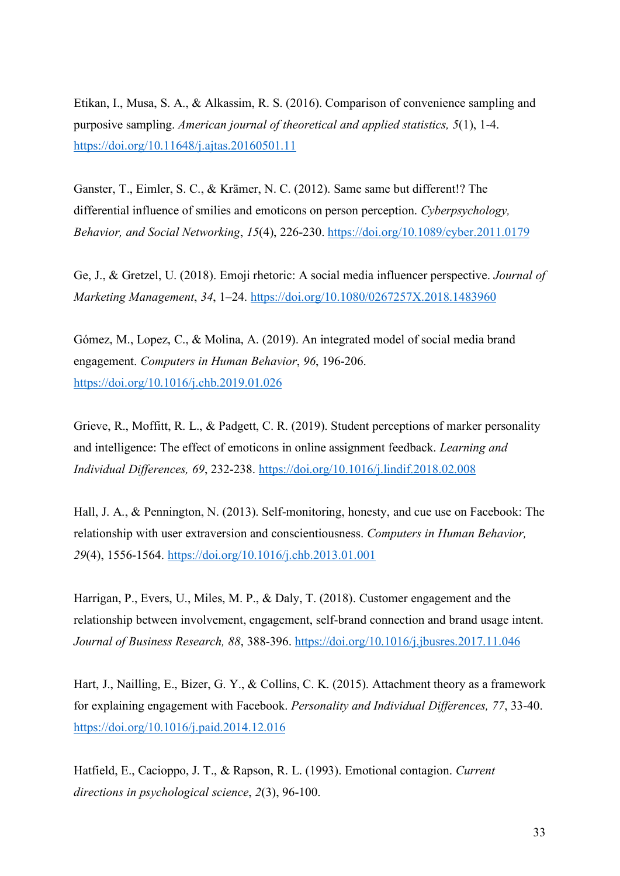Etikan, I., Musa, S. A., & Alkassim, R. S. (2016). Comparison of convenience sampling and purposive sampling. *American journal of theoretical and applied statistics, 5*(1), 1-4. <https://doi.org/10.11648/j.ajtas.20160501.11>

Ganster, T., Eimler, S. C., & Krämer, N. C. (2012). Same same but different!? The differential influence of smilies and emoticons on person perception. *Cyberpsychology, Behavior, and Social Networking*, *15*(4), 226-230.<https://doi.org/10.1089/cyber.2011.0179>

Ge, J., & Gretzel, U. (2018). Emoji rhetoric: A social media influencer perspective. *Journal of Marketing Management*, *34*, 1–24.<https://doi.org/10.1080/0267257X.2018.1483960>

Gómez, M., Lopez, C., & Molina, A. (2019). An integrated model of social media brand engagement. *Computers in Human Behavior*, *96*, 196-206. <https://doi.org/10.1016/j.chb.2019.01.026>

Grieve, R., Moffitt, R. L., & Padgett, C. R. (2019). Student perceptions of marker personality and intelligence: The effect of emoticons in online assignment feedback. *Learning and Individual Differences, 69*, 232-238.<https://doi.org/10.1016/j.lindif.2018.02.008>

Hall, J. A., & Pennington, N. (2013). Self-monitoring, honesty, and cue use on Facebook: The relationship with user extraversion and conscientiousness. *Computers in Human Behavior, 29*(4), 1556-1564. <https://doi.org/10.1016/j.chb.2013.01.001>

Harrigan, P., Evers, U., Miles, M. P., & Daly, T. (2018). Customer engagement and the relationship between involvement, engagement, self-brand connection and brand usage intent. *Journal of Business Research, 88*, 388-396. <https://doi.org/10.1016/j.jbusres.2017.11.046>

Hart, J., Nailling, E., Bizer, G. Y., & Collins, C. K. (2015). Attachment theory as a framework for explaining engagement with Facebook. *Personality and Individual Differences, 77*, 33-40. <https://doi.org/10.1016/j.paid.2014.12.016>

Hatfield, E., Cacioppo, J. T., & Rapson, R. L. (1993). Emotional contagion. *Current directions in psychological science*, *2*(3), 96-100.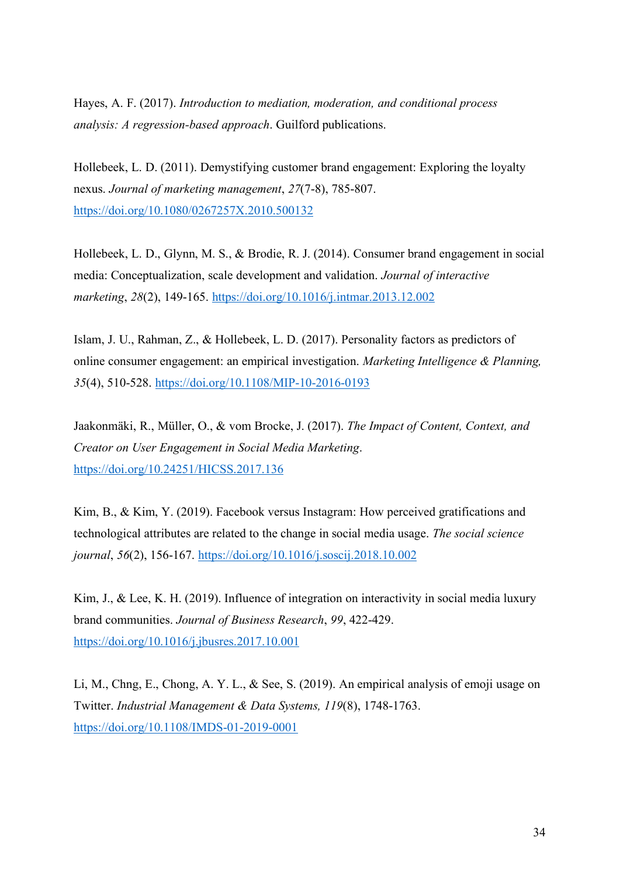Hayes, A. F. (2017). *Introduction to mediation, moderation, and conditional process analysis: A regression-based approach*. Guilford publications.

Hollebeek, L. D. (2011). Demystifying customer brand engagement: Exploring the loyalty nexus. *Journal of marketing management*, *27*(7-8), 785-807. <https://doi.org/10.1080/0267257X.2010.500132>

Hollebeek, L. D., Glynn, M. S., & Brodie, R. J. (2014). Consumer brand engagement in social media: Conceptualization, scale development and validation. *Journal of interactive marketing*, *28*(2), 149-165.<https://doi.org/10.1016/j.intmar.2013.12.002>

Islam, J. U., Rahman, Z., & Hollebeek, L. D. (2017). Personality factors as predictors of online consumer engagement: an empirical investigation. *Marketing Intelligence & Planning, 35*(4), 510-528.<https://doi.org/10.1108/MIP-10-2016-0193>

Jaakonmäki, R., Müller, O., & vom Brocke, J. (2017). *The Impact of Content, Context, and Creator on User Engagement in Social Media Marketing*. <https://doi.org/10.24251/HICSS.2017.136>

Kim, B., & Kim, Y. (2019). Facebook versus Instagram: How perceived gratifications and technological attributes are related to the change in social media usage. *The social science journal*, *56*(2), 156-167. [https://doi.org/10.1016/j.soscij.2018.10.002](https://doi-org.ru.idm.oclc.org/10.1016/j.soscij.2018.10.002)

Kim, J., & Lee, K. H. (2019). Influence of integration on interactivity in social media luxury brand communities. *Journal of Business Research*, *99*, 422-429. <https://doi.org/10.1016/j.jbusres.2017.10.001>

Li, M., Chng, E., Chong, A. Y. L., & See, S. (2019). An empirical analysis of emoji usage on Twitter. *Industrial Management & Data Systems, 119*(8), 1748-1763. <https://doi.org/10.1108/IMDS-01-2019-0001>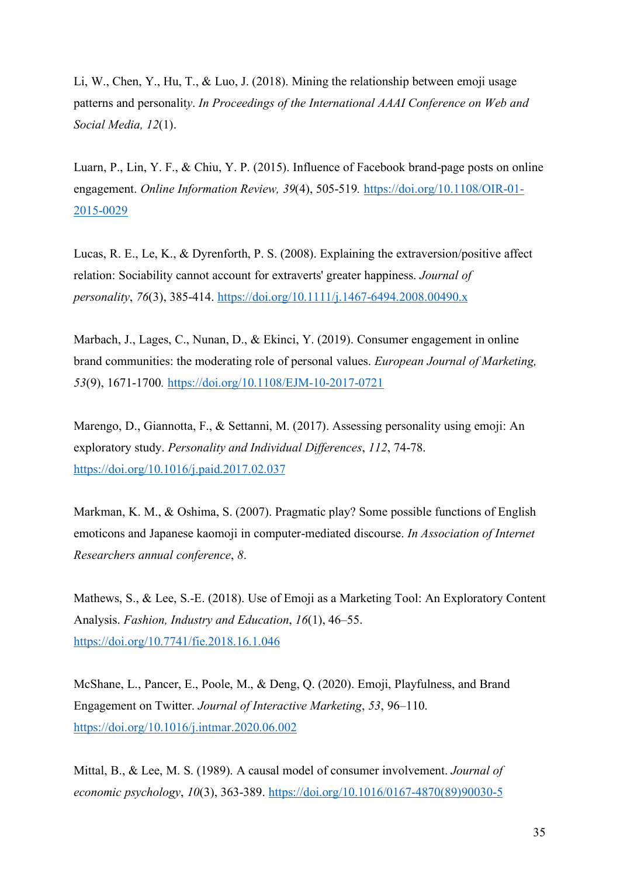Li, W., Chen, Y., Hu, T., & Luo, J. (2018). Mining the relationship between emoji usage patterns and personalit*y*. *In Proceedings of the International AAAI Conference on Web and Social Media, 12*(1).

Luarn, P., Lin, Y. F., & Chiu, Y. P. (2015). Influence of Facebook brand-page posts on online engagement. *Online Information Review, 39*(4), 505-519*.* [https://doi.org/10.1108/OIR-01-](https://doi.org/10.1108/OIR-01-2015-0029) [2015-0029](https://doi.org/10.1108/OIR-01-2015-0029)

Lucas, R. E., Le, K., & Dyrenforth, P. S. (2008). Explaining the extraversion/positive affect relation: Sociability cannot account for extraverts' greater happiness. *Journal of personality*, *76*(3), 385-414.<https://doi.org/10.1111/j.1467-6494.2008.00490.x>

Marbach, J., Lages, C., Nunan, D., & Ekinci, Y. (2019). Consumer engagement in online brand communities: the moderating role of personal values. *European Journal of Marketing, 53*(9), 1671-1700*.* <https://doi.org/10.1108/EJM-10-2017-0721>

Marengo, D., Giannotta, F., & Settanni, M. (2017). Assessing personality using emoji: An exploratory study. *Personality and Individual Differences*, *112*, 74-78. <https://doi.org/10.1016/j.paid.2017.02.037>

Markman, K. M., & Oshima, S. (2007). Pragmatic play? Some possible functions of English emoticons and Japanese kaomoji in computer-mediated discourse. *In Association of Internet Researchers annual conference*, *8*.

Mathews, S., & Lee, S.-E. (2018). Use of Emoji as a Marketing Tool: An Exploratory Content Analysis. *Fashion, Industry and Education*, *16*(1), 46–55. <https://doi.org/10.7741/fie.2018.16.1.046>

McShane, L., Pancer, E., Poole, M., & Deng, Q. (2020). Emoji, Playfulness, and Brand Engagement on Twitter. *Journal of Interactive Marketing*, *53*, 96–110. <https://doi.org/10.1016/j.intmar.2020.06.002>

Mittal, B., & Lee, M. S. (1989). A causal model of consumer involvement. *Journal of economic psychology*, *10*(3), 363-389. [https://doi.org/10.1016/0167-4870\(89\)90030-5](https://doi.org/10.1016/0167-4870(89)90030-5)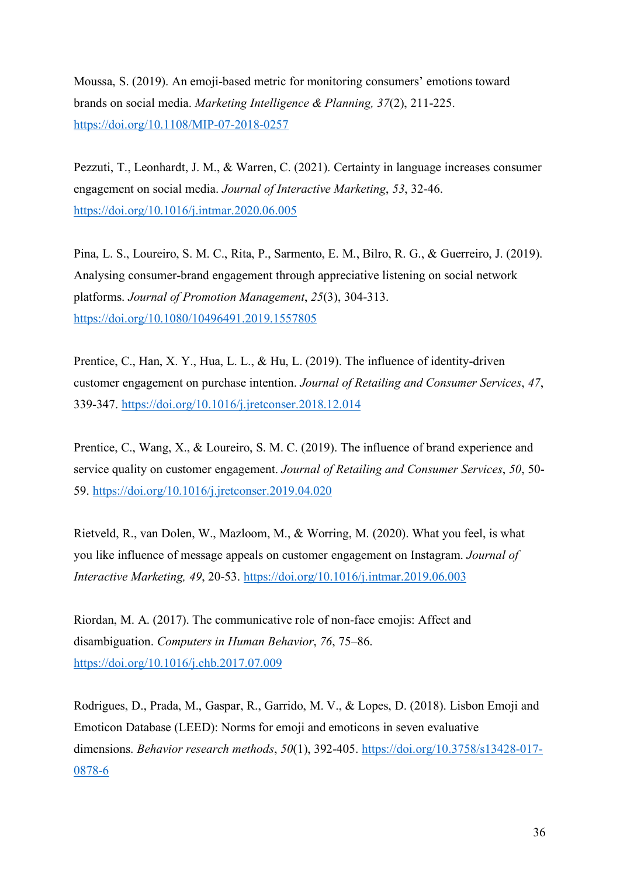Moussa, S. (2019). An emoji-based metric for monitoring consumers' emotions toward brands on social media. *Marketing Intelligence & Planning, 37*(2), 211-225. <https://doi.org/10.1108/MIP-07-2018-0257>

Pezzuti, T., Leonhardt, J. M., & Warren, C. (2021). Certainty in language increases consumer engagement on social media. *Journal of Interactive Marketing*, *53*, 32-46. [https://doi.org/10.1016/j.intmar.2020.06.005](https://doi-org.ru.idm.oclc.org/10.1016/j.intmar.2020.06.005)

Pina, L. S., Loureiro, S. M. C., Rita, P., Sarmento, E. M., Bilro, R. G., & Guerreiro, J. (2019). Analysing consumer-brand engagement through appreciative listening on social network platforms. *Journal of Promotion Management*, *25*(3), 304-313. <https://doi.org/10.1080/10496491.2019.1557805>

Prentice, C., Han, X. Y., Hua, L. L., & Hu, L. (2019). The influence of identity-driven customer engagement on purchase intention. *Journal of Retailing and Consumer Services*, *47*, 339-347. <https://doi.org/10.1016/j.jretconser.2018.12.014>

Prentice, C., Wang, X., & Loureiro, S. M. C. (2019). The influence of brand experience and service quality on customer engagement. *Journal of Retailing and Consumer Services*, *50*, 50- 59. [https://doi.org/10.1016/j.jretconser.2019.04.020](https://doi-org.ru.idm.oclc.org/10.1016/j.jretconser.2019.04.020)

Rietveld, R., van Dolen, W., Mazloom, M., & Worring, M. (2020). What you feel, is what you like influence of message appeals on customer engagement on Instagram. *Journal of Interactive Marketing, 49*, 20-53. <https://doi.org/10.1016/j.intmar.2019.06.003>

Riordan, M. A. (2017). The communicative role of non-face emojis: Affect and disambiguation. *Computers in Human Behavior*, *76*, 75–86. <https://doi.org/10.1016/j.chb.2017.07.009>

Rodrigues, D., Prada, M., Gaspar, R., Garrido, M. V., & Lopes, D. (2018). Lisbon Emoji and Emoticon Database (LEED): Norms for emoji and emoticons in seven evaluative dimensions. *Behavior research methods*, *50*(1), 392-405. [https://doi.org/10.3758/s13428-017-](https://doi.org/10.3758/s13428-017-0878-6) [0878-6](https://doi.org/10.3758/s13428-017-0878-6)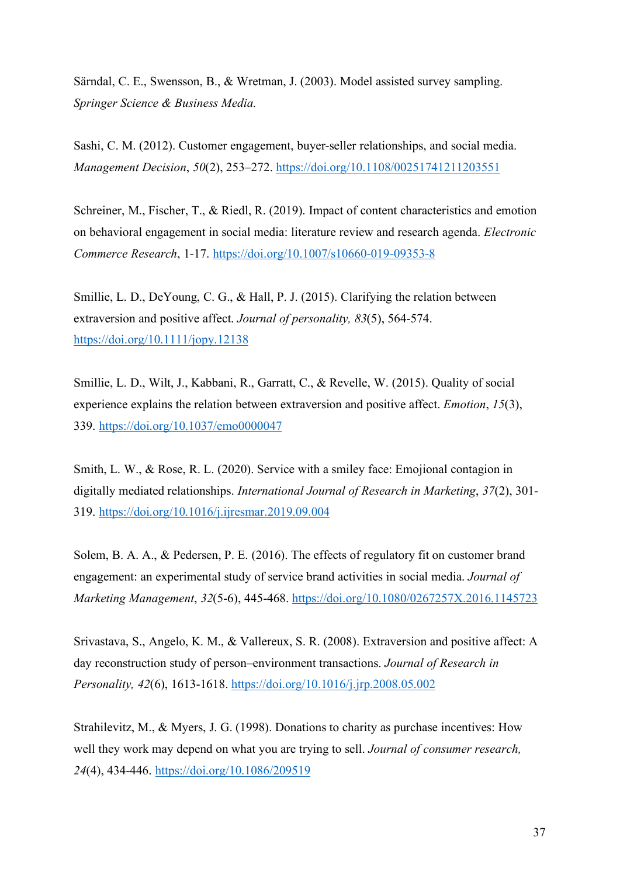Särndal, C. E., Swensson, B., & Wretman, J. (2003). Model assisted survey sampling. *Springer Science & Business Media.*

Sashi, C. M. (2012). Customer engagement, buyer-seller relationships, and social media. *Management Decision*, *50*(2), 253–272.<https://doi.org/10.1108/00251741211203551>

Schreiner, M., Fischer, T., & Riedl, R. (2019). Impact of content characteristics and emotion on behavioral engagement in social media: literature review and research agenda. *Electronic Commerce Research*, 1-17.<https://doi.org/10.1007/s10660-019-09353-8>

Smillie, L. D., DeYoung, C. G., & Hall, P. J. (2015). Clarifying the relation between extraversion and positive affect. *Journal of personality, 83*(5), 564-574. <https://doi.org/10.1111/jopy.12138>

Smillie, L. D., Wilt, J., Kabbani, R., Garratt, C., & Revelle, W. (2015). Quality of social experience explains the relation between extraversion and positive affect. *Emotion*, *15*(3), 339.<https://doi.org/10.1037/emo0000047>

Smith, L. W., & Rose, R. L. (2020). Service with a smiley face: Emojional contagion in digitally mediated relationships. *International Journal of Research in Marketing*, *37*(2), 301- 319.<https://doi.org/10.1016/j.ijresmar.2019.09.004>

Solem, B. A. A., & Pedersen, P. E. (2016). The effects of regulatory fit on customer brand engagement: an experimental study of service brand activities in social media. *Journal of Marketing Management*, *32*(5-6), 445-468.<https://doi.org/10.1080/0267257X.2016.1145723>

Srivastava, S., Angelo, K. M., & Vallereux, S. R. (2008). Extraversion and positive affect: A day reconstruction study of person–environment transactions. *Journal of Research in Personality, 42*(6), 1613-1618. <https://doi.org/10.1016/j.jrp.2008.05.002>

Strahilevitz, M., & Myers, J. G. (1998). Donations to charity as purchase incentives: How well they work may depend on what you are trying to sell. *Journal of consumer research, 24*(4), 434-446.<https://doi.org/10.1086/209519>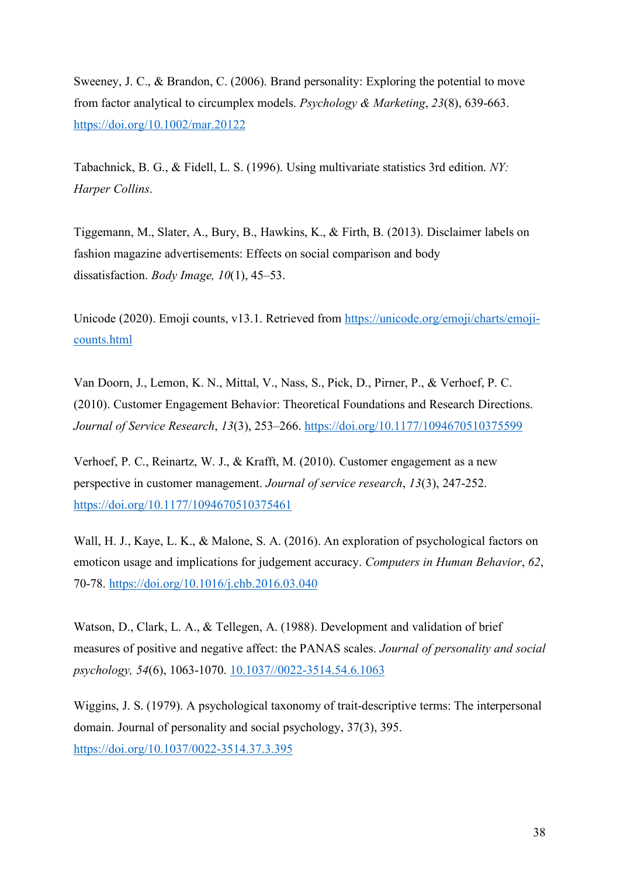Sweeney, J. C., & Brandon, C. (2006). Brand personality: Exploring the potential to move from factor analytical to circumplex models. *Psychology & Marketing*, *23*(8), 639-663. <https://doi.org/10.1002/mar.20122>

Tabachnick, B. G., & Fidell, L. S. (1996). Using multivariate statistics 3rd edition. *NY: Harper Collins*.

Tiggemann, M., Slater, A., Bury, B., Hawkins, K., & Firth, B. (2013). Disclaimer labels on fashion magazine advertisements: Effects on social comparison and body dissatisfaction. *Body Image, 10*(1), 45–53.

Unicode (2020). Emoji counts, v13.1. Retrieved from [https://unicode.org/emoji/charts/emoji](https://unicode.org/emoji/charts/emoji-counts.html)[counts.html](https://unicode.org/emoji/charts/emoji-counts.html)

Van Doorn, J., Lemon, K. N., Mittal, V., Nass, S., Pick, D., Pirner, P., & Verhoef, P. C. (2010). Customer Engagement Behavior: Theoretical Foundations and Research Directions. *Journal of Service Research*, *13*(3), 253–266.<https://doi.org/10.1177/1094670510375599>

Verhoef, P. C., Reinartz, W. J., & Krafft, M. (2010). Customer engagement as a new perspective in customer management. *Journal of service research*, *13*(3), 247-252. [https://doi.org/10.1177/1094670510375461](https://doi.org/10.1177%2F1094670510375461)

Wall, H. J., Kaye, L. K., & Malone, S. A. (2016). An exploration of psychological factors on emoticon usage and implications for judgement accuracy. *Computers in Human Behavior*, *62*, 70-78.<https://doi.org/10.1016/j.chb.2016.03.040>

Watson, D., Clark, L. A., & Tellegen, A. (1988). Development and validation of brief measures of positive and negative affect: the PANAS scales. *Journal of personality and social psychology, 54*(6), 1063-1070. [10.1037//0022-3514.54.6.1063](https://doi.org/10.1037/0022-3514.54.6.1063)

Wiggins, J. S. (1979). A psychological taxonomy of trait-descriptive terms: The interpersonal domain. Journal of personality and social psychology, 37(3), 395. <https://doi.org/10.1037/0022-3514.37.3.395>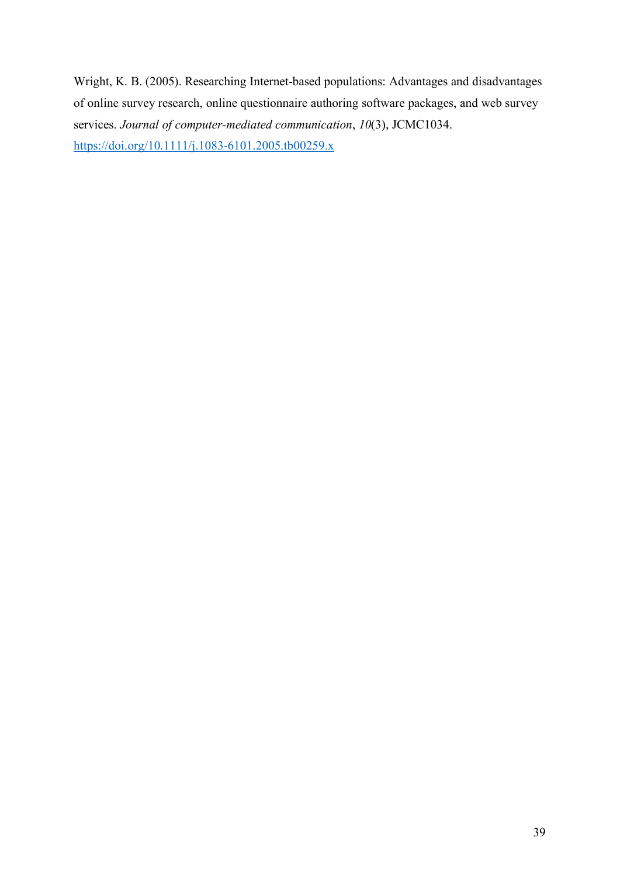Wright, K. B. (2005). Researching Internet-based populations: Advantages and disadvantages of online survey research, online questionnaire authoring software packages, and web survey services. *Journal of computer-mediated communication*, *10*(3), JCMC1034. <https://doi.org/10.1111/j.1083-6101.2005.tb00259.x>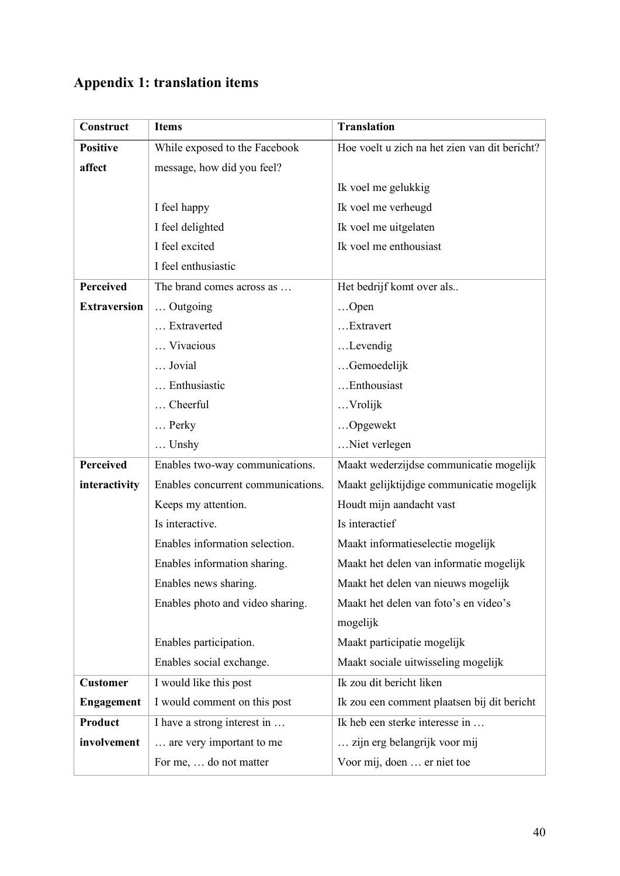# <span id="page-39-0"></span>**Appendix 1: translation items**

| Construct           | <b>Items</b>                       | <b>Translation</b>                            |
|---------------------|------------------------------------|-----------------------------------------------|
| <b>Positive</b>     | While exposed to the Facebook      | Hoe voelt u zich na het zien van dit bericht? |
| affect              | message, how did you feel?         |                                               |
|                     |                                    | Ik voel me gelukkig                           |
|                     | I feel happy                       | Ik voel me verheugd                           |
|                     | I feel delighted                   | Ik voel me uitgelaten                         |
|                     | I feel excited                     | Ik voel me enthousiast                        |
|                     | I feel enthusiastic                |                                               |
| <b>Perceived</b>    | The brand comes across as          | Het bedrijf komt over als                     |
| <b>Extraversion</b> | Outgoing                           | $$ Open                                       |
|                     | Extraverted                        | Extravert                                     |
|                     | Vivacious                          | Levendig                                      |
|                     | Jovial                             | Gemoedelijk                                   |
|                     | Enthusiastic                       | Enthousiast                                   |
|                     | Cheerful                           | $$ Vrolijk                                    |
|                     | $\ldots$ Perky                     | Opgewekt                                      |
|                     | Unshy                              | Niet verlegen                                 |
| <b>Perceived</b>    | Enables two-way communications.    | Maakt wederzijdse communicatie mogelijk       |
| interactivity       | Enables concurrent communications. | Maakt gelijktijdige communicatie mogelijk     |
|                     | Keeps my attention.                | Houdt mijn aandacht vast                      |
|                     | Is interactive.                    | Is interactief                                |
|                     | Enables information selection.     | Maakt informatieselectie mogelijk             |
|                     | Enables information sharing.       | Maakt het delen van informatie mogelijk       |
|                     | Enables news sharing.              | Maakt het delen van nieuws mogelijk           |
|                     | Enables photo and video sharing.   | Maakt het delen van foto's en video's         |
|                     |                                    | mogelijk                                      |
|                     | Enables participation.             | Maakt participatie mogelijk                   |
|                     | Enables social exchange.           | Maakt sociale uitwisseling mogelijk           |
| <b>Customer</b>     | I would like this post             | Ik zou dit bericht liken                      |
| <b>Engagement</b>   | I would comment on this post       | Ik zou een comment plaatsen bij dit bericht   |
| Product             | I have a strong interest in        | Ik heb een sterke interesse in                |
| involvement         | are very important to me           | zijn erg belangrijk voor mij                  |
|                     | For me,  do not matter             | Voor mij, doen  er niet toe                   |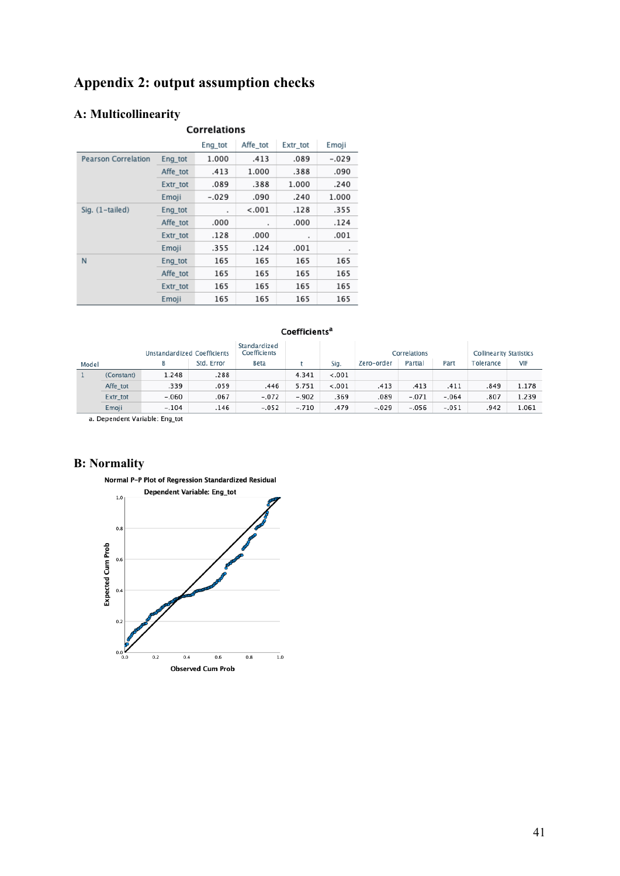# <span id="page-40-0"></span>**Appendix 2: output assumption checks**

### **A: Multicollinearity**

#### **Correlations**

|                            |          | Eng tot | Affe_tot       | Extr_tot       | Emoji   |
|----------------------------|----------|---------|----------------|----------------|---------|
| <b>Pearson Correlation</b> | Eng_tot  | 1.000   | .413           | .089           | $-.029$ |
|                            | Affe tot | .413    | 1.000          | .388           | .090    |
|                            | Extr tot | .089    | .388           | 1.000          | .240    |
|                            | Emoji    | $-.029$ | .090           | .240           | 1.000   |
| Sig. $(1-tailed)$          | Eng tot  | ٠       | < .001         | .128           | .355    |
|                            | Affe tot | .000    | $\blacksquare$ | .000           | .124    |
|                            | Extr tot | .128    | .000           | $\blacksquare$ | .001    |
|                            | Emoji    | .355    | .124           | .001           | ٠       |
| N                          | Eng tot  | 165     | 165            | 165            | 165     |
|                            | Affe tot | 165     | 165            | 165            | 165     |
|                            | Extr tot | 165     | 165            | 165            | 165     |
|                            | Emoji    | 165     | 165            | 165            | 165     |

#### Coefficients<sup>a</sup>

|       |            | Unstandardized Coefficients |            | Standardized<br>Coefficients |         |        |            | Correlations | <b>Collinearity Statistics</b> |           |       |
|-------|------------|-----------------------------|------------|------------------------------|---------|--------|------------|--------------|--------------------------------|-----------|-------|
| Model |            | В                           | Std. Error | Beta                         |         | Sig.   | Zero-order | Partial      | Part                           | Tolerance | VIF   |
|       | (Constant) | 1.248                       | .288       |                              | 4.341   | < .001 |            |              |                                |           |       |
|       | Affe tot   | .339                        | .059       | .446                         | 5.751   | < .001 | .413       | .413         | .411                           | .849      | 1.178 |
|       | Extr tot   | $-.060$                     | .067       | $-.072$                      | $-.902$ | .369   | .089       | $-.071$      | $-.064$                        | .807      | 1.239 |
|       | Emoii      | $-.104$                     | .146       | $-.052$                      | $-.710$ | .479   | $-.029$    | $-.056$      | $-.051$                        | .942      | 1.061 |
|       | .          |                             |            |                              |         |        |            |              |                                |           |       |

a. Dependent Variable: Eng\_tot

### **B: Normality**

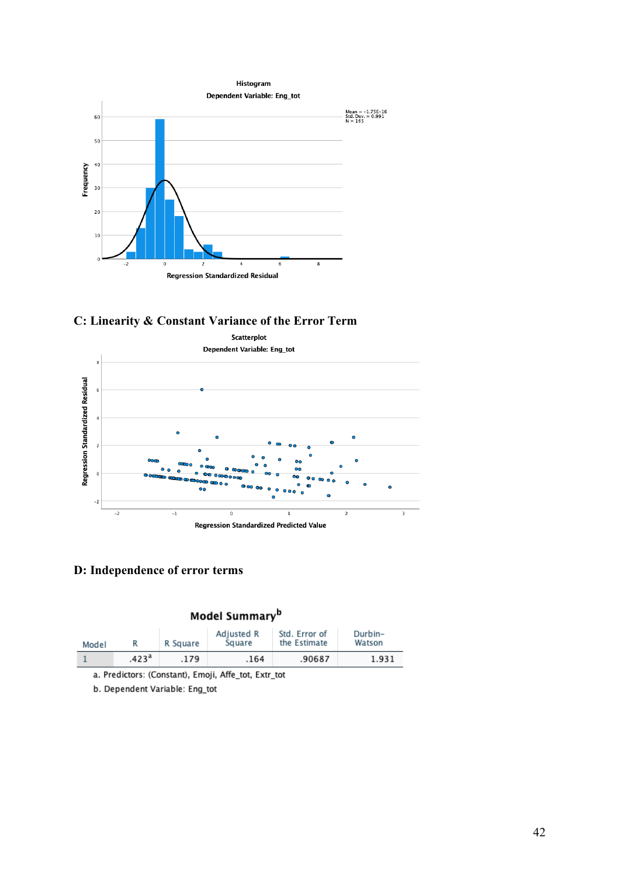





### **D: Independence of error terms**

| Model Summary <sup>b</sup> |                   |          |                      |                               |                   |  |  |  |  |
|----------------------------|-------------------|----------|----------------------|-------------------------------|-------------------|--|--|--|--|
| Model                      |                   | R Square | Adjusted R<br>Square | Std. Error of<br>the Estimate | Durbin-<br>Watson |  |  |  |  |
|                            | .423 <sup>a</sup> | .179     | .164                 | .90687                        | 1.931             |  |  |  |  |

a. Predictors: (Constant), Emoji, Affe\_tot, Extr\_tot

b. Dependent Variable: Eng\_tot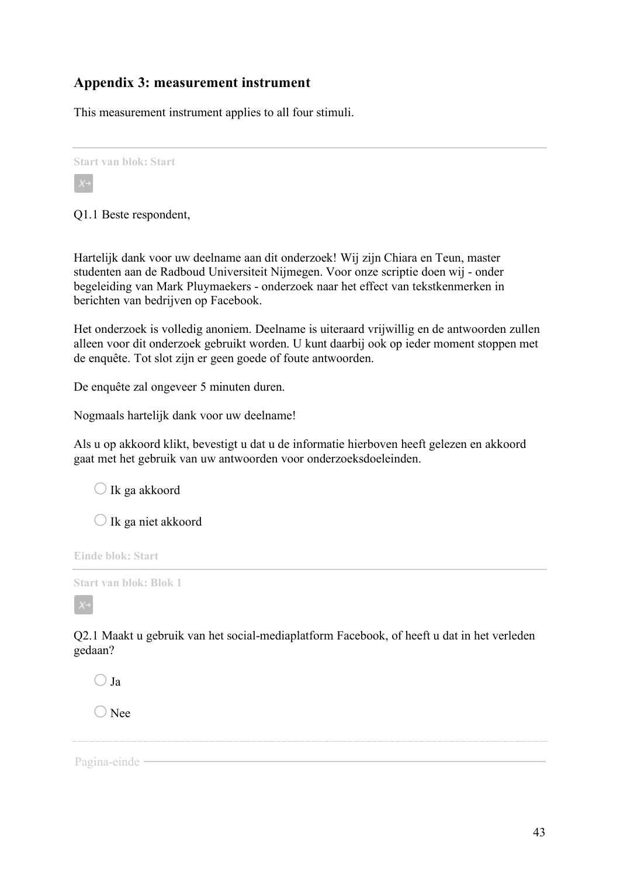### <span id="page-42-0"></span>**Appendix 3: measurement instrument**

This measurement instrument applies to all four stimuli.

**Start van blok: Start**

Q1.1 Beste respondent,

Hartelijk dank voor uw deelname aan dit onderzoek! Wij zijn Chiara en Teun, master studenten aan de Radboud Universiteit Nijmegen. Voor onze scriptie doen wij - onder begeleiding van Mark Pluymaekers - onderzoek naar het effect van tekstkenmerken in berichten van bedrijven op Facebook.

Het onderzoek is volledig anoniem. Deelname is uiteraard vrijwillig en de antwoorden zullen alleen voor dit onderzoek gebruikt worden. U kunt daarbij ook op ieder moment stoppen met de enquête. Tot slot zijn er geen goede of foute antwoorden.

De enquête zal ongeveer 5 minuten duren.

Nogmaals hartelijk dank voor uw deelname!

Als u op akkoord klikt, bevestigt u dat u de informatie hierboven heeft gelezen en akkoord gaat met het gebruik van uw antwoorden voor onderzoeksdoeleinden.

 $\bigcirc$  Ik ga akkoord

O Ik ga niet akkoord

**Einde blok: Start**

**Start van blok: Blok 1**

Q2.1 Maakt u gebruik van het social-mediaplatform Facebook, of heeft u dat in het verleden gedaan?

 $\bigcap$  Ia

 $\bigcap$  Nee

Pagina-einde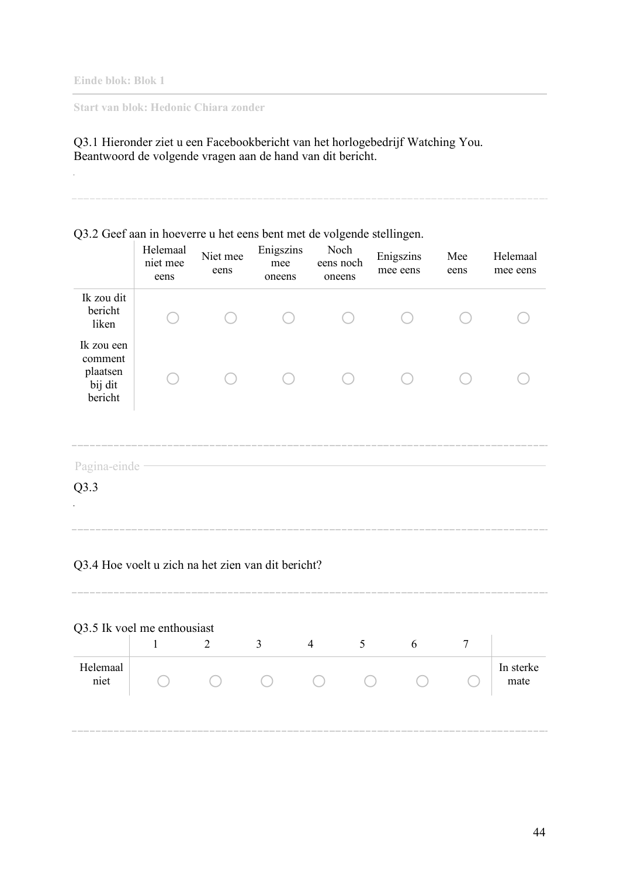**Einde blok: Blok 1**

**Start van blok: Hedonic Chiara zonder**

Q3.1 Hieronder ziet u een Facebookbericht van het horlogebedrijf Watching You. Beantwoord de volgende vragen aan de hand van dit bericht.

Q3.2 Geef aan in hoeverre u het eens bent met de volgende stellingen. Helemaal niet mee eens Niet mee eens Enigszins mee oneens Noch eens noch oneens Enigszins mee eens Mee eens Helemaal mee eens Ik zou dit bericht liken o o o o o o o Ik zou een comment plaatsen bij dit bericht o o o o o o o Pagina-einde Q3.3 Q3.4 Hoe voelt u zich na het zien van dit bericht? Q3.5 Ik voel me enthousiast 1 2 3 4 5 6 7 Helemaal  $\begin{array}{c|cccc}\n\hline\n\text{intra} & 0 & 0 & 0 & 0 & 0 & 0 \\
\hline\n\end{array}$ In sterke mate

44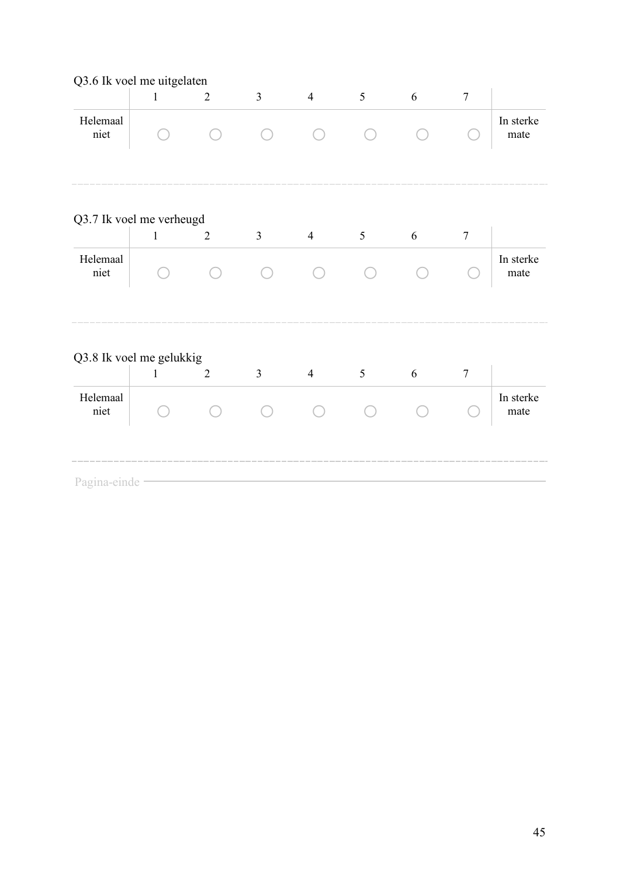|                          |              | Q3.6 Ik voel me uitgelaten |                |                |                |   |                |                   |
|--------------------------|--------------|----------------------------|----------------|----------------|----------------|---|----------------|-------------------|
|                          | $\mathbf{1}$ | $\overline{2}$             | $\overline{3}$ | $\overline{4}$ | 5              | 6 | $\overline{7}$ |                   |
| Helemaal<br>niet         |              |                            |                |                |                |   |                | In sterke<br>mate |
| Q3.7 Ik voel me verheugd |              |                            |                |                |                |   |                |                   |
|                          | $\mathbf{1}$ | $\mathbf{2}$               | $\mathfrak{Z}$ | $\overline{4}$ | $\mathfrak{H}$ | 6 | $\tau$         |                   |
| Helemaal<br>niet         |              |                            |                |                |                |   |                | In sterke<br>mate |
|                          |              |                            |                |                |                |   |                |                   |
| Q3.8 Ik voel me gelukkig | $\mathbf{1}$ | $\sqrt{2}$                 | $\mathfrak{Z}$ | $\overline{4}$ | 5              | 6 | $\tau$         |                   |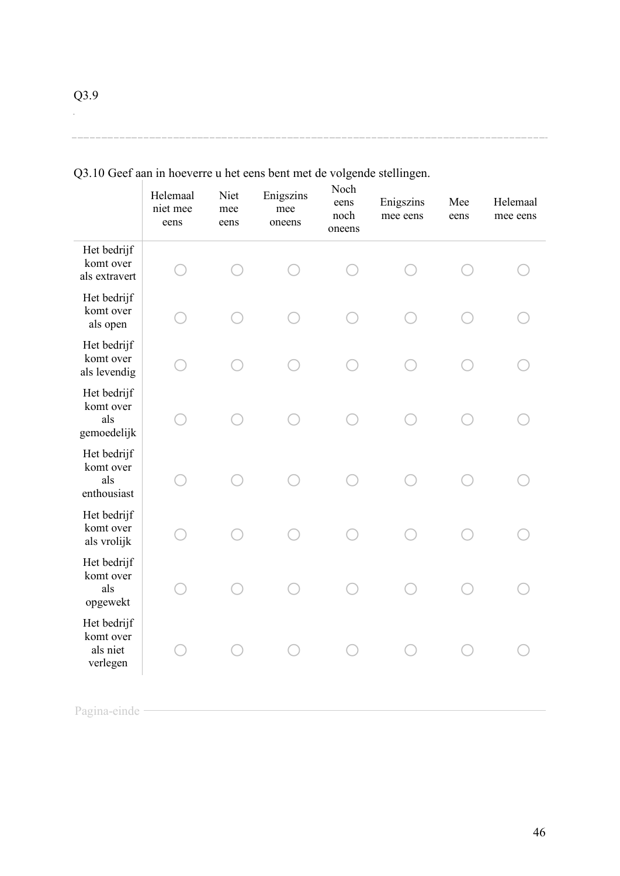|                                                  | Helemaal<br>niet mee<br>eens | Niet<br>mee<br>eens | Enigszins<br>mee<br>oneens | Noch<br>eens<br>noch<br>oneens | Enigszins<br>mee eens | Mee<br>eens | Helemaal<br>mee eens |
|--------------------------------------------------|------------------------------|---------------------|----------------------------|--------------------------------|-----------------------|-------------|----------------------|
| Het bedrijf<br>komt over<br>als extravert        |                              |                     |                            |                                |                       |             |                      |
| Het bedrijf<br>komt over<br>als open             |                              |                     |                            |                                |                       |             |                      |
| Het bedrijf<br>komt over<br>als levendig         |                              |                     |                            |                                |                       |             |                      |
| Het bedrijf<br>komt over<br>als<br>gemoedelijk   |                              |                     |                            |                                |                       |             |                      |
| Het bedrijf<br>komt over<br>als<br>enthousiast   |                              |                     |                            |                                |                       |             |                      |
| Het bedrijf<br>komt over<br>als vrolijk          |                              |                     |                            |                                |                       |             |                      |
| Het bedrijf<br>komt over<br>als<br>opgewekt      |                              |                     |                            |                                |                       |             |                      |
| Het bedrijf<br>komt over<br>als niet<br>verlegen |                              |                     |                            |                                |                       |             |                      |
| Pagina-einde                                     |                              |                     |                            |                                |                       |             |                      |

### Q3.10 Geef aan in hoeverre u het eens bent met de volgende stellingen.

 $\mathbb{Z}^2$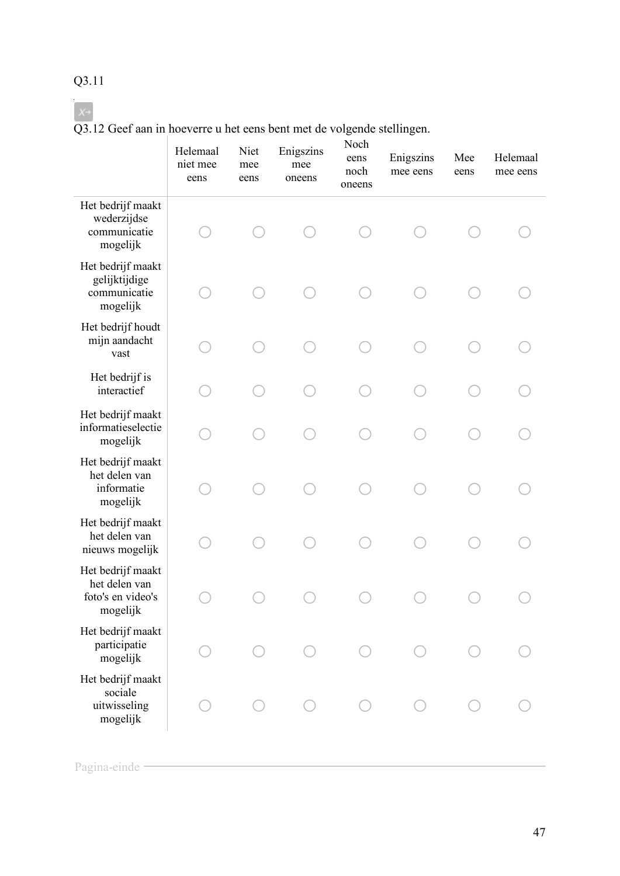# Q3.11

### Q3.12 Geef aan in hoeverre u het eens bent met de volgende stellingen.

|                                                                     | Helemaal<br>niet mee<br>eens | Niet<br>mee<br>eens | Enigszins<br>mee<br>oneens | Noch<br>eens<br>noch<br>oneens | Enigszins<br>mee eens | Mee<br>eens | Helemaal<br>mee eens |
|---------------------------------------------------------------------|------------------------------|---------------------|----------------------------|--------------------------------|-----------------------|-------------|----------------------|
| Het bedrijf maakt<br>wederzijdse<br>communicatie<br>mogelijk        |                              |                     |                            |                                |                       |             |                      |
| Het bedrijf maakt<br>gelijktijdige<br>communicatie<br>mogelijk      |                              |                     |                            |                                |                       |             |                      |
| Het bedrijf houdt<br>mijn aandacht<br>vast                          |                              |                     |                            |                                |                       |             |                      |
| Het bedrijf is<br>interactief                                       |                              |                     |                            |                                |                       |             |                      |
| Het bedrijf maakt<br>informatieselectie<br>mogelijk                 |                              |                     |                            |                                |                       |             |                      |
| Het bedrijf maakt<br>het delen van<br>informatie<br>mogelijk        |                              |                     |                            |                                |                       |             |                      |
| Het bedrijf maakt<br>het delen van<br>nieuws mogelijk               |                              |                     |                            |                                |                       |             |                      |
| Het bedrijf maakt<br>het delen van<br>foto's en video's<br>mogelijk |                              |                     |                            |                                |                       |             |                      |
| Het bedrijf maakt<br>participatie<br>mogelijk                       |                              |                     |                            |                                |                       |             |                      |
| Het bedrijf maakt<br>sociale<br>uitwisseling<br>mogelijk            |                              |                     |                            |                                |                       |             |                      |

Pagina-einde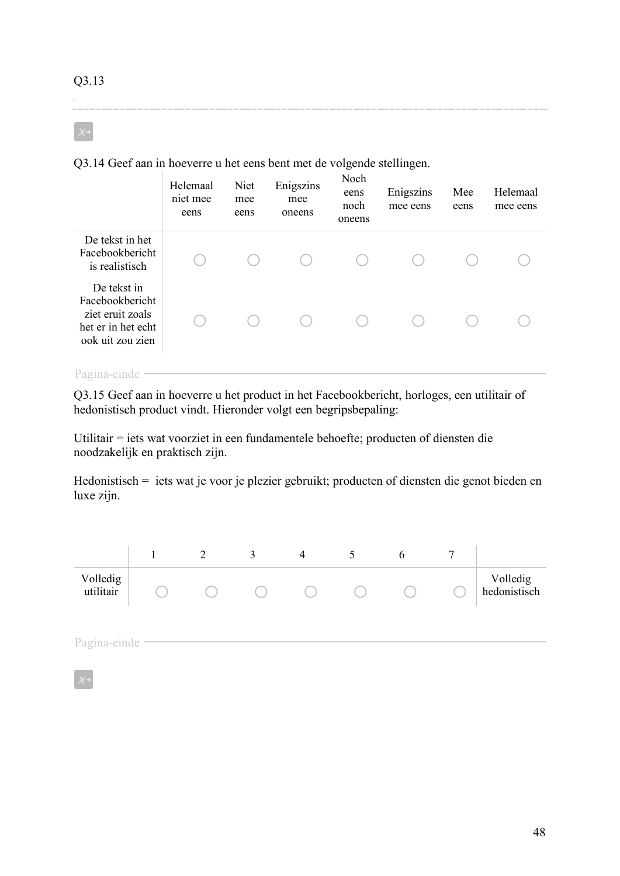Q3.14 Geef aan in hoeverre u het eens bent met de volgende stellingen.

|                                                                                              | Helemaal<br>niet mee<br>eens | Niet<br>mee<br>eens | Enigszins<br>mee<br>oneens | Noch<br>eens<br>noch<br>oneens | Enigszins<br>mee eens | Mee<br>eens | Helemaal<br>mee eens |
|----------------------------------------------------------------------------------------------|------------------------------|---------------------|----------------------------|--------------------------------|-----------------------|-------------|----------------------|
| De tekst in het<br>Facebookbericht<br>is realistisch                                         |                              |                     |                            |                                |                       |             |                      |
| De tekst in<br>Facebookbericht<br>ziet eruit zoals<br>het er in het echt<br>ook uit zou zien |                              |                     |                            |                                |                       |             |                      |

### Pagina-einde

Q3.15 Geef aan in hoeverre u het product in het Facebookbericht, horloges, een utilitair of hedonistisch product vindt. Hieronder volgt een begripsbepaling:

Utilitair = iets wat voorziet in een fundamentele behoefte; producten of diensten die noodzakelijk en praktisch zijn.

Hedonistisch = iets wat je voor je plezier gebruikt; producten of diensten die genot bieden en luxe zijn.

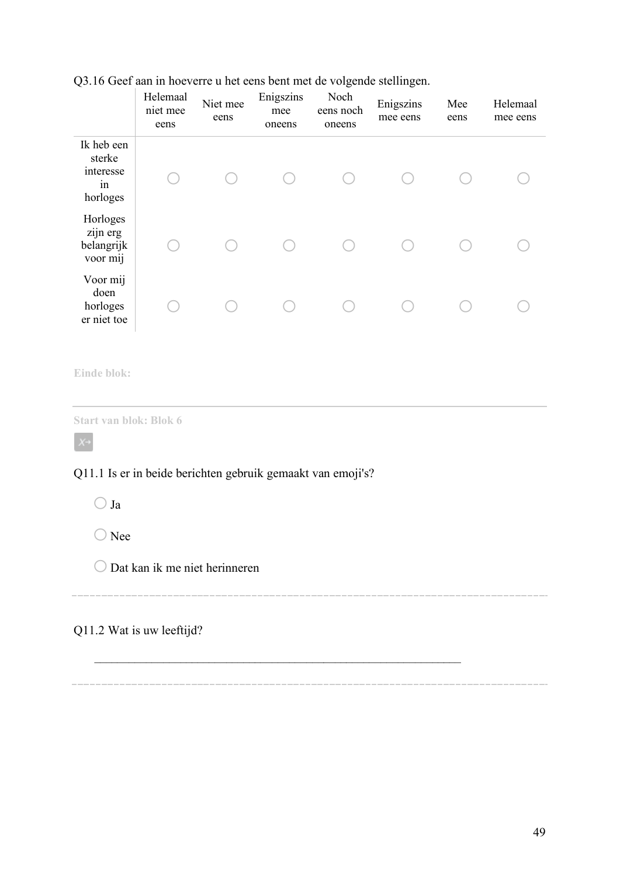|                                                     | Helemaal<br>niet mee<br>eens | Niet mee<br>eens | Enigszins<br>mee<br>oneens | Noch<br>eens noch<br>oneens | Enigszins<br>mee eens | Mee<br>eens | Helemaal<br>mee eens |
|-----------------------------------------------------|------------------------------|------------------|----------------------------|-----------------------------|-----------------------|-------------|----------------------|
| Ik heb een<br>sterke<br>interesse<br>in<br>horloges |                              |                  |                            |                             |                       |             |                      |
| Horloges<br>zijn erg<br>belangrijk<br>voor mij      |                              |                  |                            |                             |                       |             |                      |
| Voor mij<br>doen<br>horloges<br>er niet toe         |                              |                  |                            |                             |                       |             |                      |
|                                                     |                              |                  |                            |                             |                       |             |                      |

Q3.16 Geef aan in hoeverre u het eens bent met de volgende stellingen.

**Einde blok:** 

**Start van blok: Blok 6**

 $X \rightarrow$ 

Q11.1 Is er in beide berichten gebruik gemaakt van emoji's?

 $\bigcirc$  Ja

 $\bigcirc$  Nee

 $\bigcirc$  Dat kan ik me niet herinneren

Q11.2 Wat is uw leeftijd?